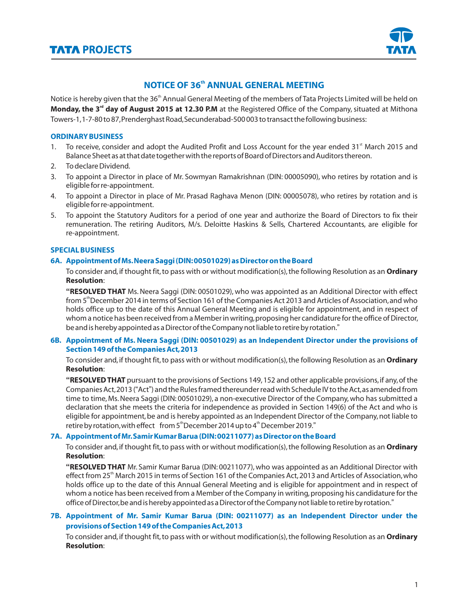

# **NOTICE OF 36<sup>th</sup> ANNUAL GENERAL MEETING**

Notice is hereby given that the 36<sup>th</sup> Annual General Meeting of the members of Tata Projects Limited will be held on **Monday, the 3<sup>rd</sup> day of August 2015 at 12.30 P.M** at the Registered Office of the Company, situated at Mithona Towers-1,1-7-80 to 87,Prenderghast Road,Secunderabad-500 003 to transact the following business:

## **ORDINARY BUSINESS**

- 1. To receive, consider and adopt the Audited Profit and Loss Account for the year ended 31<sup>st</sup> March 2015 and Balance Sheet as at that date together with the reports of Board of Directors and Auditors thereon.
- 2. To declare Dividend.
- 3. To appoint a Director in place of Mr. Sowmyan Ramakrishnan (DIN: 00005090), who retires by rotation and is eligible for re-appointment.
- 4. To appoint a Director in place of Mr. Prasad Raghava Menon (DIN: 00005078), who retires by rotation and is eligible for re-appointment.
- 5. To appoint the Statutory Auditors for a period of one year and authorize the Board of Directors to fix their remuneration. The retiring Auditors, M/s. Deloitte Haskins & Sells, Chartered Accountants, are eligible for re-appointment.

## **SPECIAL BUSINESS**

## **6A. Appointment of Ms.Neera Saggi (DIN:00501029) as Director on the Board**

To consider and, if thought fit,to pass with or without modification(s),the following Resolution as an **Ordinary Resolution**:

**"RESOLVED THAT** Ms.Neera Saggi (DIN: 00501029), who was appointed as an Additional Director with effect from 5<sup>th</sup> December 2014 in terms of Section 161 of the Companies Act 2013 and Articles of Association, and who holds office up to the date of this Annual General Meeting and is eligible for appointment, and in respect of whom a notice has been received from a Member in writing,proposing her candidature for the office of Director, be and is hereby appointed as a Director of the Company not liable to retire by rotation."

## **6B. Appointment of Ms. Neera Saggi (DIN: 00501029) as an Independent Director under the provisions of Section 149 of the Companies Act,2013**

To consider and, if thought fit,to pass with or without modification(s),the following Resolution as an **Ordinary Resolution**:

**"RESOLVED THAT** pursuant to the provisions of Sections 149,152 and other applicable provisions,if any,of the Companies Act,2013 ("Act") and the Rules framed thereunder read with Schedule IV to the Act,as amended from time to time, Ms. Neera Saggi (DIN: 00501029), a non-executive Director of the Company, who has submitted a declaration that she meets the criteria for independence as provided in Section 149(6) of the Act and who is eligible for appointment,be and is hereby appointed as an Independent Director of the Company,not liable to retire by rotation, with effect from  $5<sup>th</sup>$ December 2014 up to  $4<sup>th</sup>$  December 2019."

# **7A. Appointment of Mr.Samir Kumar Barua (DIN:00211077) as Director on the Board**

To consider and, if thought fit,to pass with or without modification(s),the following Resolution as an **Ordinary Resolution**:

**"RESOLVED THAT** Mr. Samir Kumar Barua (DIN: 00211077), who was appointed as an Additional Director with effect from 25<sup>th</sup> March 2015 in terms of Section 161 of the Companies Act, 2013 and Articles of Association, who holds office up to the date of this Annual General Meeting and is eligible for appointment and in respect of whom a notice has been received from a Member of the Company in writing, proposing his candidature for the office of Director,be and is hereby appointed as a Director of the Company not liable to retire by rotation."

# **7B. Appointment of Mr. Samir Kumar Barua (DIN: 00211077) as an Independent Director under the provisions of Section 149 of the Companies Act,2013**

To consider and, if thought fit,to pass with or without modification(s),the following Resolution as an **Ordinary Resolution**: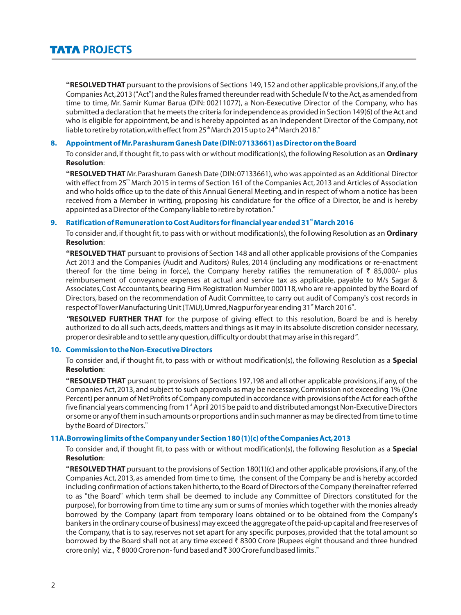**"RESOLVED THAT** pursuant to the provisions of Sections 149,152 and other applicable provisions,if any,of the Companies Act,2013 ("Act") and the Rules framed thereunder read with Schedule IV to the Act,as amended from time to time, Mr. Samir Kumar Barua (DIN: 00211077), a Non-Eexecutive Director of the Company, who has submitted a declaration that he meets the criteria for independence as provided in Section 149(6) of the Act and who is eligible for appointment, be and is hereby appointed as an Independent Director of the Company, not liable to retire by rotation, with effect from  $25<sup>th</sup>$  March 2015 up to  $24<sup>th</sup>$  March 2018."

## **8. Appointment of Mr.Parashuram Ganesh Date (DIN:07133661) as Director on the Board**

To consider and, if thought fit,to pass with or without modification(s),the following Resolution as an **Ordinary Resolution**:

**"RESOLVED THAT** Mr.Parashuram Ganesh Date (DIN:07133661),who was appointed as an Additional Director with effect from 25<sup>th</sup> March 2015 in terms of Section 161 of the Companies Act, 2013 and Articles of Association and who holds office up to the date of this Annual General Meeting, and in respect of whom a notice has been received from a Member in writing, proposing his candidature for the office of a Director, be and is hereby appointed as a Director of the Company liable to retire by rotation."

#### **st 9. Ratification of Remuneration to Cost Auditors for financial year ended 31 March 2016**

To consider and, if thought fit,to pass with or without modification(s),the following Resolution as an **Ordinary Resolution**:

**"RESOLVED THAT** pursuant to provisions of Section 148 and all other applicable provisions of the Companies Act 2013 and the Companies (Audit and Auditors) Rules, 2014 (including any modifications or re-enactment thereof for the time being in force), the Company hereby ratifies the remuneration of  $\bar{\tau}$  85,000/- plus reimbursement of conveyance expenses at actual and service tax as applicable, payable to M/s Sagar & Associates,Cost Accountants,bearing Firm Registration Number 000118,who are re-appointed by the Board of Directors, based on the recommendation of Audit Committee, to carry out audit of Company's cost records in respect of Tower Manufacturing Unit (TMU), Umred, Nagpur for year ending 31<sup>st</sup> March 2016".

*"***RESOLVED FURTHER THAT** for the purpose of giving effect to this resolution, Board be and is hereby authorized to do all such acts, deeds, matters and things as it may in its absolute discretion consider necessary, proper or desirable and to settle any question,difficulty or doubt that may arise in this regard*"*.

#### **10. Commission to the Non-Executive Directors**

To consider and, if thought fit, to pass with or without modification(s), the following Resolution as a **Special Resolution**:

**"RESOLVED THAT** pursuant to provisions of Sections 197,198 and all other applicable provisions, if any, of the Companies Act, 2013, and subject to such approvals as may be necessary,Commission not exceeding 1% (One Percent) per annum of Net Profits of Company computed in accordance with provisions of the Act for each of the five financial years commencing from 1<sup>st</sup> April 2015 be paid to and distributed amongst Non-Executive Directors or some or any of them in such amounts or proportions and in such manner as may be directed from time to time by the Board of Directors."

#### **11A.Borrowing limits of the Company under Section 180 (1)(c) of the Companies Act,2013**

To consider and, if thought fit, to pass with or without modification(s), the following Resolution as a **Special Resolution**:

**"RESOLVED THAT** pursuant to the provisions of Section 180(1)(c) and other applicable provisions, if any,of the Companies Act, 2013, as amended from time to time, the consent of the Company be and is hereby accorded including confirmation of actions taken hitherto,to the Board of Directors of the Company (hereinafter referred to as "the Board" which term shall be deemed to include any Committee of Directors constituted for the purpose),for borrowing from time to time any sum or sums of monies which together with the monies already borrowed by the Company (apart from temporary loans obtained or to be obtained from the Company's bankers in the ordinary course of business) may exceed the aggregate of the paid-up capital and free reserves of the Company, that is to say, reserves not set apart for any specific purposes, provided that the total amount so borrowed by the Board shall not at any time exceed ₹8300 Crore (Rupees eight thousand and three hundred crore only) viz., ₹8000 Crore non- fund based and ₹300 Crore fund based limits."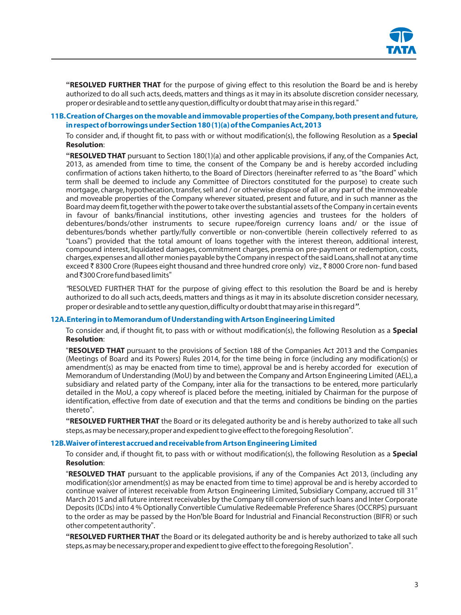

**"RESOLVED FURTHER THAT** for the purpose of giving effect to this resolution the Board be and is hereby authorized to do all such acts, deeds, matters and things as it may in its absolute discretion consider necessary, proper or desirable and to settle any question,difficulty or doubt that may arise in this regard."

#### **11B.Creation of Charges on the movable and immovable properties of the Company,both present and future, in respect of borrowings under Section 180 (1)(a) of the Companies Act,2013**

To consider and, if thought fit, to pass with or without modification(s), the following Resolution as a **Special Resolution**:

**"RESOLVED THAT** pursuant to Section 180(1)(a) and other applicable provisions, if any, of the Companies Act, 2013, as amended from time to time, the consent of the Company be and is hereby accorded including confirmation of actions taken hitherto, to the Board of Directors (hereinafter referred to as "the Board" which term shall be deemed to include any Committee of Directors constituted for the purpose) to create such mortgage, charge, hypothecation, transfer, sell and / or otherwise dispose of all or any part of the immoveable and moveable properties of the Company wherever situated, present and future, and in such manner as the Board may deem fit,together with the power to take over the substantial assets of the Company in certain events in favour of banks/financial institutions, other investing agencies and trustees for the holders of debentures/bonds/other instruments to secure rupee/foreign currency loans and/ or the issue of debentures/bonds whether partly/fully convertible or non-convertible (herein collectively referred to as "Loans") provided that the total amount of loans together with the interest thereon, additional interest, compound interest, liquidated damages, commitment charges, premia on pre-payment or redemption, costs, charges,expenses and all other monies payable by the Company in respect of the said Loans,shall not at any time exceed ₹8300 Crore (Rupees eight thousand and three hundred crore only) viz., ₹8000 Crore non- fund based and ₹300 Crore fund based limits"

*"*RESOLVED FURTHER THAT for the purpose of giving effect to this resolution the Board be and is hereby authorized to do all such acts, deeds, matters and things as it may in its absolute discretion consider necessary, proper or desirable and to settle any question,difficulty or doubt that may arise in this regard*"*.

#### **12A.Entering in to Memorandum of Understanding with Artson Engineering Limited**

To consider and, if thought fit, to pass with or without modification(s), the following Resolution as a **Special Resolution**:

"**RESOLVED THAT** pursuant to the provisions of Section 188 of the Companies Act 2013 and the Companies (Meetings of Board and its Powers) Rules 2014, for the time being in force (including any modification(s) or amendment(s) as may be enacted from time to time), approval be and is hereby accorded for execution of Memorandum of Understanding (MoU) by and between the Company and Artson Engineering Limited (AEL),a subsidiary and related party of the Company, inter alia for the transactions to be entered, more particularly detailed in the MoU, a copy whereof is placed before the meeting, initialed by Chairman for the purpose of identification, effective from date of execution and that the terms and conditions be binding on the parties thereto".

**"RESOLVED FURTHER THAT** the Board or its delegated authority be and is hereby authorized to take all such steps,as may be necessary,proper and expedient to give effect to the foregoing Resolution".

#### **12B.Waiver of interest accrued and receivable from Artson Engineering Limited**

To consider and, if thought fit, to pass with or without modification(s), the following Resolution as a **Special Resolution**:

"**RESOLVED THAT** pursuant to the applicable provisions, if any of the Companies Act 2013, (including any modification(s)or amendment(s) as may be enacted from time to time) approval be and is hereby accorded to continue waiver of interest receivable from Artson Engineering Limited, Subsidiary Company, accrued till 31<sup>st</sup> March 2015 and all future interest receivables by the Company till conversion of such loans and Inter Corporate Deposits (ICDs) into 4 % Optionally Convertible Cumulative Redeemable Preference Shares (OCCRPS) pursuant to the order as may be passed by the Hon'ble Board for Industrial and Financial Reconstruction (BIFR) or such other competent authority".

**"RESOLVED FURTHER THAT** the Board or its delegated authority be and is hereby authorized to take all such steps,as may be necessary,proper and expedient to give effect to the foregoing Resolution".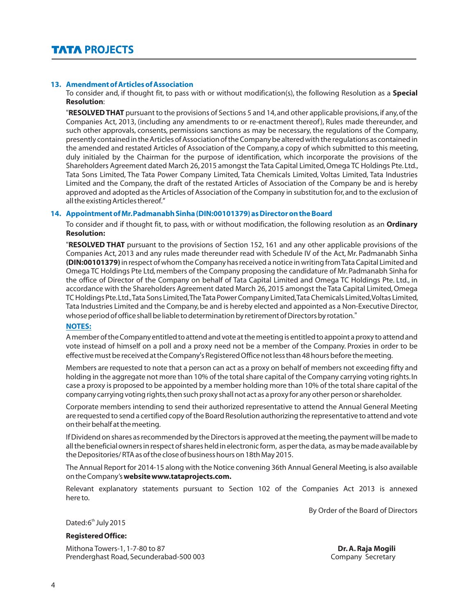#### **13. Amendment of Articles of Association**

To consider and, if thought fit, to pass with or without modification(s), the following Resolution as a **Special Resolution**:

"**RESOLVED THAT** pursuant to the provisions of Sections 5 and 14,and other applicable provisions,if any,of the Companies Act, 2013, (including any amendments to or re-enactment thereof), Rules made thereunder, and such other approvals, consents, permissions sanctions as may be necessary, the regulations of the Company, presently contained in the Articles of Association of the Company be altered with the regulations as contained in the amended and restated Articles of Association of the Company, a copy of which submitted to this meeting, duly initialed by the Chairman for the purpose of identification, which incorporate the provisions of the Shareholders Agreement dated March 26,2015 amongst the Tata Capital Limited,Omega TC Holdings Pte. Ltd., Tata Sons Limited, The Tata Power Company Limited, Tata Chemicals Limited, Voltas Limited, Tata Industries Limited and the Company, the draft of the restated Articles of Association of the Company be and is hereby approved and adopted as the Articles of Association of the Company in substitution for,and to the exclusion of all the existing Articles thereof."

#### **14. Appointment of Mr.Padmanabh Sinha (DIN:00101379) as Director on the Board**

To consider and if thought fit, to pass, with or without modification, the following resolution as an **Ordinary Resolution:**

"**RESOLVED THAT** pursuant to the provisions of Section 152, 161 and any other applicable provisions of the Companies Act, 2013 and any rules made thereunder read with Schedule IV of the Act, Mr. Padmanabh Sinha **(DIN:00101379)** in respect of whom the Company has received a notice in writing from Tata Capital Limited and Omega TC Holdings Pte Ltd, members of the Company proposing the candidature of Mr. Padmanabh Sinha for the office of Director of the Company on behalf of Tata Capital Limited and Omega TC Holdings Pte. Ltd., in accordance with the Shareholders Agreement dated March 26, 2015 amongst the Tata Capital Limited,Omega TC Holdings Pte.Ltd.,Tata Sons Limited,The Tata Power Company Limited,Tata Chemicals Limited,Voltas Limited, Tata Industries Limited and the Company, be and is hereby elected and appointed as a Non-Executive Director, whose period of office shall be liable to determination by retirement of Directors by rotation."

#### **NOTES:**

A member of the Company entitled to attend and vote at the meeting is entitled to appoint a proxy to attend and vote instead of himself on a poll and a proxy need not be a member of the Company. Proxies in order to be effective must be received at the Company's Registered Office not less than 48 hours before the meeting.

Members are requested to note that a person can act as a proxy on behalf of members not exceeding fifty and holding in the aggregate not more than 10% of the total share capital of the Company carrying voting rights.In case a proxy is proposed to be appointed by a member holding more than 10% of the total share capital of the company carrying voting rights,then such proxy shall not act as a proxy for any other person or shareholder.

Corporate members intending to send their authorized representative to attend the Annual General Meeting are requested to send a certified copy of the Board Resolution authorizing the representative to attend and vote on their behalf at the meeting.

If Dividend on shares as recommended by the Directors is approved at the meeting,the payment will be made to all the beneficial owners in respect of shares held in electronic form, as per the data, as may be made available by the Depositories/ RTA as of the close of business hours on 18th May 2015.

The Annual Report for 2014-15 along with the Notice convening 36th Annual General Meeting,is also available on the Company's **website www.tataprojects.com.**

Relevant explanatory statements pursuant to Section 102 of the Companies Act 2013 is annexed here to.

By Order of the Board of Directors

Dated:6<sup>th</sup> July 2015

## **Registered Office:**

Mithona Towers-1, 1-7-80 to 87 **Dr. A. Raja Mogili** Prenderghast Road, Secunderabad-500 003 Company Secretary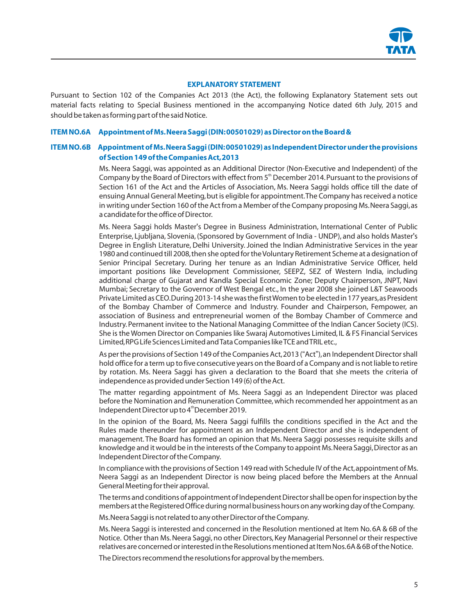

#### **EXPLANATORY STATEMENT**

Pursuant to Section 102 of the Companies Act 2013 (the Act), the following Explanatory Statement sets out material facts relating to Special Business mentioned in the accompanying Notice dated 6th July, 2015 and should be taken as forming part of the said Notice.

#### **ITEM NO.6A Appointment of Ms.Neera Saggi (DIN:00501029) as Director on the Board &**

## **ITEM NO.6B Appointment of Ms.Neera Saggi (DIN:00501029) as Independent Director under the provisions of Section 149 of the Companies Act,2013**

Ms. Neera Saggi, was appointed as an Additional Director (Non-Executive and Independent) of the Company by the Board of Directors with effect from 5<sup>th</sup> December 2014. Pursuant to the provisions of Section 161 of the Act and the Articles of Association, Ms. Neera Saggi holds office till the date of ensuing Annual General Meeting,but is eligible for appointment.The Company has received a notice in writing under Section 160 of the Act from a Member of the Company proposing Ms.Neera Saggi,as a candidate for the office of Director.

Ms. Neera Saggi holds Master's Degree in Business Administration, International Center of Public Enterprise, Ljubljana, Slovenia, (Sponsored by Government of India - UNDP), and also holds Master's Degree in English Literature, Delhi University.Joined the Indian Administrative Services in the year 1980 and continued till 2008,then she opted for the Voluntary Retirement Scheme at a designation of Senior Principal Secretary. During her tenure as an Indian Administrative Service Officer, held important positions like Development Commissioner, SEEPZ, SEZ of Western India, including additional charge of Gujarat and Kandla Special Economic Zone; Deputy Chairperson, JNPT, Navi Mumbai; Secretary to the Governor of West Bengal etc., In the year 2008 she joined L&T Seawoods Private Limited as CEO.During 2013-14 she was the first Women to be elected in 177 years,as President of the Bombay Chamber of Commerce and Industry. Founder and Chairperson, Fempower, an association of Business and entrepreneurial women of the Bombay Chamber of Commerce and Industry.Permanent invitee to the National Managing Committee of the Indian Cancer Society (ICS). She is the Women Director on Companies like Swaraj Automotives Limited, IL & FS Financial Services Limited,RPG Life Sciences Limited and Tata Companies like TCE and TRIL etc.,

As per the provisions of Section 149 of the Companies Act, 2013 ("Act"), an Independent Director shall hold office for a term up to five consecutive years on the Board of a Company and is not liable to retire by rotation. Ms. Neera Saggi has given a declaration to the Board that she meets the criteria of independence as provided under Section 149 (6) of the Act.

The matter regarding appointment of Ms. Neera Saggi as an Independent Director was placed before the Nomination and Remuneration Committee,which recommended her appointment as an Independent Director up to 4<sup>th</sup> December 2019.

In the opinion of the Board, Ms. Neera Saggi fulfills the conditions specified in the Act and the Rules made thereunder for appointment as an Independent Director and she is independent of management. The Board has formed an opinion that Ms. Neera Saggi possesses requisite skills and knowledge and it would be in the interests of the Company to appoint Ms. Neera Saggi, Director as an Independent Director of the Company.

In compliance with the provisions of Section 149 read with Schedule IV of the Act, appointment of Ms. Neera Saggi as an Independent Director is now being placed before the Members at the Annual General Meeting for their approval.

The terms and conditions of appointment of Independent Director shall be open for inspection by the members at the Registered Office during normal business hours on any working day of the Company.

Ms.Neera Saggi is not related to any other Director of the Company.

Ms. Neera Saggi is interested and concerned in the Resolution mentioned at Item No. 6A & 6B of the Notice. Other than Ms. Neera Saggi, no other Directors, Key Managerial Personnel or their respective relatives are concerned or interested in the Resolutions mentioned at Item Nos.6A & 6B of the Notice.

The Directors recommend the resolutions for approval by the members.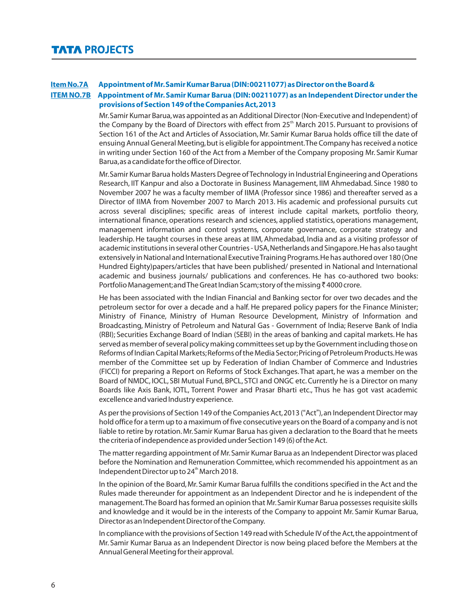# **Item No.7A Appointment of Mr.Samir Kumar Barua (DIN:00211077) as Director on the Board &**

## **ITEM NO.7B Appointment of Mr.Samir Kumar Barua (DIN:00211077) as an Independent Director under the provisions of Section 149 of the Companies Act,2013**

Mr.Samir Kumar Barua,was appointed as an Additional Director (Non-Executive and Independent) of the Company by the Board of Directors with effect from 25<sup>th</sup> March 2015. Pursuant to provisions of Section 161 of the Act and Articles of Association, Mr. Samir Kumar Barua holds office till the date of ensuing Annual General Meeting,but is eligible for appointment.The Company has received a notice in writing under Section 160 of the Act from a Member of the Company proposing Mr. Samir Kumar Barua,as a candidate for the office of Director.

Mr.Samir Kumar Barua holds Masters Degree of Technology in Industrial Engineering and Operations Research, IIT Kanpur and also a Doctorate in Business Management, IIM Ahmedabad. Since 1980 to November 2007 he was a faculty member of IIMA (Professor since 1986) and thereafter served as a Director of IIMA from November 2007 to March 2013. His academic and professional pursuits cut across several disciplines; specific areas of interest include capital markets, portfolio theory, international finance, operations research and sciences, applied statistics, operations management, management information and control systems, corporate governance, corporate strategy and leadership. He taught courses in these areas at IIM, Ahmedabad, India and as a visiting professor of academic institutions in several other Countries - USA,Netherlands and Singapore.He has also taught extensively in National and International Executive Training Programs.He has authored over 180 (One Hundred Eighty)papers/articles that have been published/ presented in National and International academic and business journals/ publications and conferences. He has co-authored two books: Portfolio Management; and The Great Indian Scam; story of the missing  $\bar{\tau}$  4000 crore.

He has been associated with the Indian Financial and Banking sector for over two decades and the petroleum sector for over a decade and a half. He prepared policy papers for the Finance Minister; Ministry of Finance, Ministry of Human Resource Development, Ministry of Information and Broadcasting, Ministry of Petroleum and Natural Gas - Government of India; Reserve Bank of India (RBI); Securities Exchange Board of Indian (SEBI) in the areas of banking and capital markets.He has served as member of several policy making committees set up by the Government including those on Reforms of Indian Capital Markets; Reforms of the Media Sector; Pricing of Petroleum Products. He was member of the Committee set up by Federation of Indian Chamber of Commerce and Industries (FICCI) for preparing a Report on Reforms of Stock Exchanges. That apart, he was a member on the Board of NMDC, IOCL, SBI Mutual Fund, BPCL, STCI and ONGC etc. Currently he is a Director on many Boards like Axis Bank, IOTL, Torrent Power and Prasar Bharti etc., Thus he has got vast academic excellence and varied Industry experience.

As per the provisions of Section 149 of the Companies Act,2013 ("Act"),an Independent Director may hold office for a term up to a maximum of five consecutive years on the Board of a company and is not liable to retire by rotation.Mr.Samir Kumar Barua has given a declaration to the Board that he meets the criteria of independence as provided under Section 149 (6) of the Act.

The matter regarding appointment of Mr.Samir Kumar Barua as an Independent Director was placed before the Nomination and Remuneration Committee, which recommended his appointment as an Independent Director up to 24<sup>th</sup> March 2018.

In the opinion of the Board, Mr. Samir Kumar Barua fulfills the conditions specified in the Act and the Rules made thereunder for appointment as an Independent Director and he is independent of the management.The Board has formed an opinion that Mr.Samir Kumar Barua possesses requisite skills and knowledge and it would be in the interests of the Company to appoint Mr. Samir Kumar Barua, Director as an Independent Director of the Company.

In compliance with the provisions of Section 149 read with Schedule IV of the Act, the appointment of Mr. Samir Kumar Barua as an Independent Director is now being placed before the Members at the Annual General Meeting for their approval.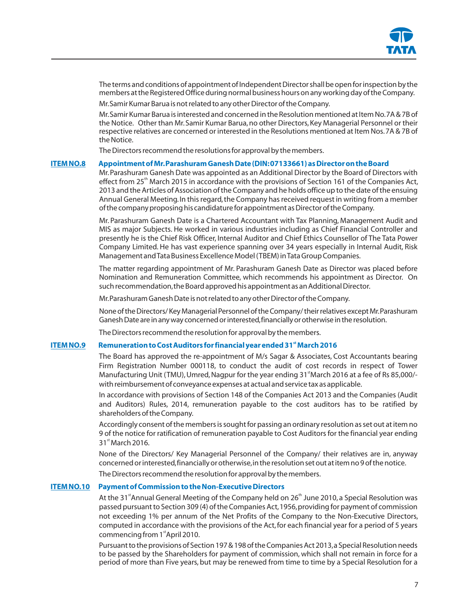

The terms and conditions of appointment of Independent Director shall be open for inspection by the members at the Registered Office during normal business hours on any working day of the Company. Mr.Samir Kumar Barua is not related to any other Director of the Company.

Mr.Samir Kumar Barua is interested and concerned in the Resolution mentioned at Item No.7A & 7B of the Notice. Other than Mr.Samir Kumar Barua,no other Directors,Key Managerial Personnel or their respective relatives are concerned or interested in the Resolutions mentioned at Item Nos.7A & 7B of the Notice.

The Directors recommend the resolutions for approval by the members.

#### **ITEM NO.8 Appointment of Mr.Parashuram Ganesh Date (DIN:07133661) as Director on the Board**

Mr.Parashuram Ganesh Date was appointed as an Additional Director by the Board of Directors with effect from  $25<sup>th</sup>$  March 2015 in accordance with the provisions of Section 161 of the Companies Act, 2013 and the Articles of Association of the Company and he holds office up to the date of the ensuing Annual General Meeting.In this regard,the Company has received request in writing from a member of the company proposing his candidature for appointment as Director of the Company.

Mr. Parashuram Ganesh Date is a Chartered Accountant with Tax Planning, Management Audit and MIS as major Subjects. He worked in various industries including as Chief Financial Controller and presently he is the Chief Risk Officer, Internal Auditor and Chief Ethics Counsellor of The Tata Power Company Limited. He has vast experience spanning over 34 years especially in Internal Audit, Risk Management and Tata Business Excellence Model (TBEM) in Tata Group Companies.

The matter regarding appointment of Mr. Parashuram Ganesh Date as Director was placed before Nomination and Remuneration Committee, which recommends his appointment as Director. On such recommendation,the Board approved his appointment as an Additional Director.

Mr.Parashuram Ganesh Date is not related to any other Director of the Company.

None of the Directors/ Key Managerial Personnel of the Company/ their relatives except Mr.Parashuram Ganesh Date are in any way concerned or interested,financially or otherwise in the resolution.

The Directors recommend the resolution for approval by the members.

#### **ITEM NO.9** Remuneration to Cost Auditors for financial year ended 31<sup><sup>t</sup></sup> March 2016

The Board has approved the re-appointment of M/s Sagar & Associates, Cost Accountants bearing Firm Registration Number 000118, to conduct the audit of cost records in respect of Tower Manufacturing Unit (TMU), Umred, Nagpur for the year ending 31 March 2016 at a fee of Rs 85,000/with reimbursement of conveyance expenses at actual and service tax as applicable.

In accordance with provisions of Section 148 of the Companies Act 2013 and the Companies (Audit and Auditors) Rules, 2014, remuneration payable to the cost auditors has to be ratified by shareholders of the Company.

Accordingly consent of the members is sought for passing an ordinary resolution as set out at item no 9 of the notice for ratification of remuneration payable to Cost Auditors for the financial year ending  $31<sup>st</sup>$  March 2016.

None of the Directors/ Key Managerial Personnel of the Company/ their relatives are in, anyway concerned or interested,financially or otherwise,in the resolution set out at item no 9 of the notice.

The Directors recommend the resolution for approval by the members.

## **ITEM NO.10 Payment of Commission to the Non-Executive Directors**

At the 31<sup>st</sup> Annual General Meeting of the Company held on 26<sup>th</sup> June 2010, a Special Resolution was passed pursuant to Section 309 (4) of the Companies Act, 1956, providing for payment of commission not exceeding 1% per annum of the Net Profits of the Company to the Non-Executive Directors, computed in accordance with the provisions of the Act, for each financial year for a period of 5 years commencing from 1<sup>st</sup> April 2010.

Pursuant to the provisions of Section 197 & 198 of the Companies Act 2013,a Special Resolution needs to be passed by the Shareholders for payment of commission, which shall not remain in force for a period of more than Five years, but may be renewed from time to time by a Special Resolution for a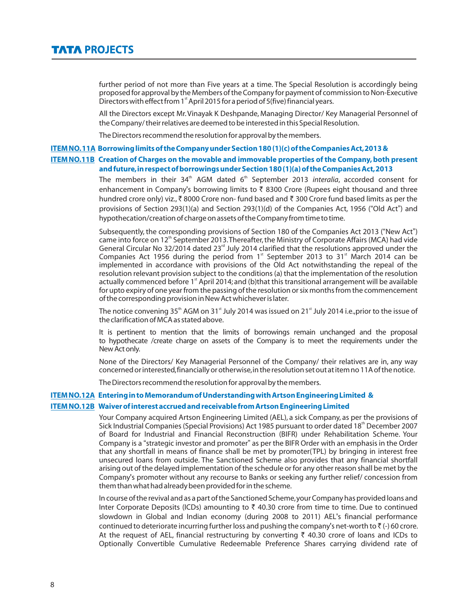further period of not more than Five years at a time. The Special Resolution is accordingly being proposed for approval by the Members of the Company for payment of commission to Non-Executive Directors with effect from 1<sup>st</sup> April 2015 for a period of 5(five) financial years.

All the Directors except Mr.Vinayak K Deshpande, Managing Director/ Key Managerial Personnel of the Company/ their relatives are deemed to be interested in this Special Resolution.

The Directors recommend the resolution for approval by the members.

#### **ITEM NO.11A Borrowing limits of the Company under Section 180 (1)(c) of the Companies Act,2013 &**

## **ITEM NO.11B Creation of Charges on the movable and immovable properties of the Company,both present and future,in respect of borrowings under Section 180 (1)(a) of the Companies Act,2013**

The members in their 34<sup>th</sup> AGM dated 6<sup>th</sup> September 2013 *interalia*, accorded consent for enhancement in Company's borrowing limits to  $\bar{z}$  8300 Crore (Rupees eight thousand and three hundred crore only) viz.,  $\bar{\tau}$  8000 Crore non- fund based and  $\bar{\tau}$  300 Crore fund based limits as per the provisions of Section 293(1)(a) and Section 293(1)(d) of the Companies Act, 1956 ("Old Act") and hypothecation/creation of charge on assets of the Company from time to time.

Subsequently, the corresponding provisions of Section 180 of the Companies Act 2013 ("New Act") came into force on  $12<sup>th</sup>$  September 2013. Thereafter, the Ministry of Corporate Affairs (MCA) had vide General Circular No 32/2014 dated 23 $<sup>rd</sup>$  July 2014 clarified that the resolutions approved under the</sup> Companies Act 1956 during the period from  $1<sup>*</sup>$  September 2013 to 31 $<sup>*</sup>$  March 2014 can be</sup> implemented in accordance with provisions of the Old Act notwithstanding the repeal of the resolution relevant provision subject to the conditions (a) that the implementation of the resolution actually commenced before 1<sup>st</sup> April 2014; and (b)that this transitional arrangement will be available for upto expiry of one year from the passing of the resolution or six months from the commencement of the corresponding provision in New Act whichever is later.

The notice convening 35<sup>th</sup> AGM on 31<sup>st</sup> July 2014 was issued on 21<sup>st</sup> July 2014 i.e.,prior to the issue of the clarification of MCA as stated above.

It is pertinent to mention that the limits of borrowings remain unchanged and the proposal to hypothecate /create charge on assets of the Company is to meet the requirements under the New Act only.

None of the Directors/ Key Managerial Personnel of the Company/ their relatives are in, any way concerned or interested,financially or otherwise,in the resolution set out at item no 11A of the notice.

The Directors recommend the resolution for approval by the members.

#### **ITEM NO.12A Entering in to Memorandum of Understanding with Artson Engineering Limited &**

#### **ITEM NO.12B Waiver of interest accrued and receivable from Artson Engineering Limited**

Your Company acquired Artson Engineering Limited (AEL), a sick Company, as per the provisions of Sick Industrial Companies (Special Provisions) Act 1985 pursuant to order dated 18<sup>th</sup> December 2007 of Board for Industrial and Financial Reconstruction (BIFR) under Rehabilitation Scheme. Your Company is a "strategic investor and promoter" as per the BIFR Order with an emphasis in the Order that any shortfall in means of finance shall be met by promoter(TPL) by bringing in interest free unsecured loans from outside. The Sanctioned Scheme also provides that any financial shortfall arising out of the delayed implementation of the schedule or for any other reason shall be met by the Company's promoter without any recourse to Banks or seeking any further relief/ concession from them than what had already been provided for in the scheme.

In course of the revival and as a part of the Sanctioned Scheme,your Company has provided loans and Inter Corporate Deposits (ICDs) amounting to  $\bar{\tau}$  40.30 crore from time to time. Due to continued slowdown in Global and Indian economy (during 2008 to 2011) AEL's financial performance continued to deteriorate incurring further loss and pushing the company's net-worth to  $\bar{\tau}$  (-) 60 crore. At the request of AEL, financial restructuring by converting  $\bar{\tau}$  40.30 crore of loans and ICDs to Optionally Convertible Cumulative Redeemable Preference Shares carrying dividend rate of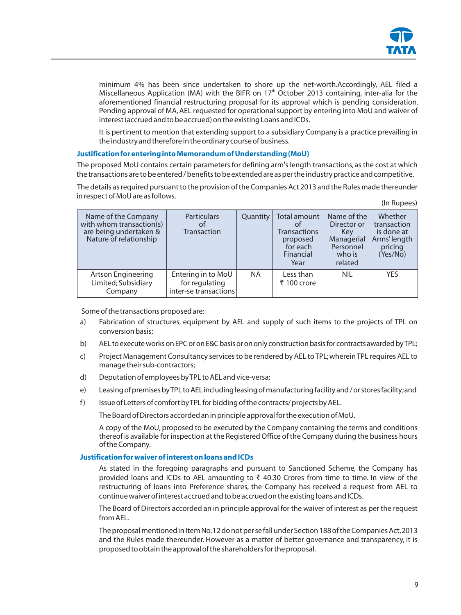

minimum 4% has been since undertaken to shore up the net-worth.Accordingly, AEL filed a Miscellaneous Application (MA) with the BIFR on  $17<sup>th</sup>$  October 2013 containing, inter-alia for the aforementioned financial restructuring proposal for its approval which is pending consideration. Pending approval of MA, AEL requested for operational support by entering into MoU and waiver of interest (accrued and to be accrued) on the existing Loans and ICDs.

It is pertinent to mention that extending support to a subsidiary Company is a practice prevailing in the industry and therefore in the ordinary course of business.

#### **Justification for entering into Memorandum of Understanding (MoU)**

The proposed MoU contains certain parameters for defining arm's length transactions, as the cost at which the transactions are to be entered / benefits to be extended are as per the industry practice and competitive.

The details as required pursuant to the provision of the Companies Act 2013 and the Rules made thereunder in respect of MoU are as follows.  $(\ln \mathsf{D} \cdot \ln \mathsf{a} \cdot \mathsf{a})$ 

|                                                                                                     |                                                               |           |                                                                                        |                                                                                   | (III nupees)                                                                |
|-----------------------------------------------------------------------------------------------------|---------------------------------------------------------------|-----------|----------------------------------------------------------------------------------------|-----------------------------------------------------------------------------------|-----------------------------------------------------------------------------|
| Name of the Company<br>with whom transaction(s)<br>are being undertaken &<br>Nature of relationship | <b>Particulars</b><br>Ωt<br><b>Transaction</b>                | Quantity  | Total amount<br>Ωt<br><b>Transactions</b><br>proposed<br>for each<br>Financial<br>Year | Name of the<br>Director or<br>Kev<br>Managerial<br>Personnel<br>who is<br>related | Whether<br>transaction<br>is done at<br>Arms' length<br>pricing<br>(Yes/No) |
| <b>Artson Engineering</b><br>Limited; Subsidiary<br>Company                                         | Entering in to MoU<br>for regulating<br>inter-se transactions | <b>NA</b> | Less than<br>₹ 100 crore                                                               | <b>NIL</b>                                                                        | <b>YES</b>                                                                  |

Some of the transactions proposed are:

- a) Fabrication of structures, equipment by AEL and supply of such items to the projects of TPL on conversion basis;
- b) AEL to execute works on EPC or on E&C basis or on only construction basis for contracts awarded by TPL;
- c) Project Management Consultancy services to be rendered by AEL to TPL;wherein TPL requires AEL to manage their sub-contractors;
- d) Deputation of employees by TPL to AEL and vice-versa;
- e) Leasing of premises by TPL to AEL including leasing of manufacturing facility and / or stores facility;and
- f) Issue of Letters of comfort by TPL for bidding of the contracts/ projects by AEL.

The Board of Directors accorded an in principle approval for the execution of MoU.

A copy of the MoU, proposed to be executed by the Company containing the terms and conditions thereof is available for inspection at the Registered Office of the Company during the business hours of the Company.

## **Justification for waiver of interest on loans and ICDs**

As stated in the foregoing paragraphs and pursuant to Sanctioned Scheme, the Company has provided loans and ICDs to AEL amounting to  $\bar{\tau}$  40.30 Crores from time to time. In view of the restructuring of loans into Preference shares, the Company has received a request from AEL to continue waiver of interest accrued and to be accrued on the existing loans and ICDs.

The Board of Directors accorded an in principle approval for the waiver of interest as per the request from AEL.

The proposal mentioned in Item No.12 do not per se fall under Section 188 of the Companies Act,2013 and the Rules made thereunder. However as a matter of better governance and transparency, it is proposed to obtain the approval of the shareholders for the proposal.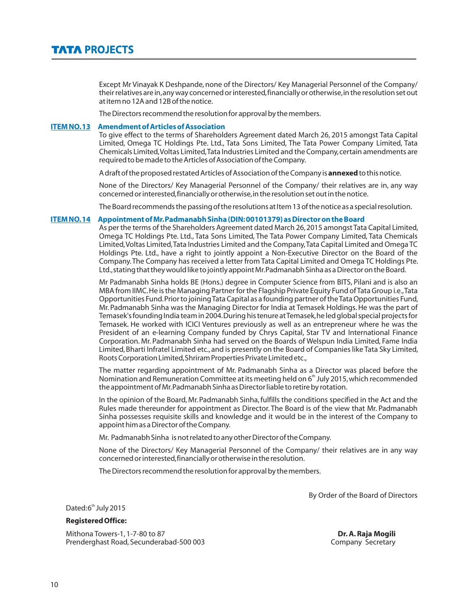Except Mr Vinayak K Deshpande, none of the Directors/ Key Managerial Personnel of the Company/ their relatives are in,any way concerned or interested,financially or otherwise,in the resolution set out at item no 12A and 12B of the notice.

The Directors recommend the resolution for approval by the members.

#### **ITEM NO.13 Amendment of Articles of Association**

To give effect to the terms of Shareholders Agreement dated March 26, 2015 amongst Tata Capital Limited, Omega TC Holdings Pte. Ltd., Tata Sons Limited, The Tata Power Company Limited, Tata Chemicals Limited,Voltas Limited,Tata Industries Limited and the Company,certain amendments are required to be made to the Articles of Association of the Company.

A draft of the proposed restated Articles of Association of the Company is **annexed** to this notice.

None of the Directors/ Key Managerial Personnel of the Company/ their relatives are in, any way concerned or interested,financially or otherwise,in the resolution set out in the notice.

The Board recommends the passing of the resolutions at Item 13 of the notice as a special resolution.

#### **ITEM NO.14 Appointment of Mr.Padmanabh Sinha (DIN:00101379) as Director on the Board**

As per the terms of the Shareholders Agreement dated March 26,2015 amongst Tata Capital Limited, Omega TC Holdings Pte. Ltd., Tata Sons Limited, The Tata Power Company Limited, Tata Chemicals Limited,Voltas Limited,Tata Industries Limited and the Company,Tata Capital Limited and Omega TC Holdings Pte. Ltd., have a right to jointly appoint a Non-Executive Director on the Board of the Company.The Company has received a letter from Tata Capital Limited and Omega TC Holdings Pte. Ltd.,stating that they would like to jointly appoint Mr.Padmanabh Sinha as a Director on the Board.

Mr Padmanabh Sinha holds BE (Hons.) degree in Computer Science from BITS, Pilani and is also an MBA from IIMC.He is the Managing Partner for the Flagship Private Equity Fund of Tata Group i.e.,Tata Opportunities Fund.Prior to joining Tata Capital as a founding partner of the Tata Opportunities Fund, Mr. Padmanabh Sinha was the Managing Director for India at Temasek Holdings.He was the part of Temasek's founding India team in 2004.During his tenure at Temasek,he led global special projects for Temasek. He worked with ICICI Ventures previously as well as an entrepreneur where he was the President of an e-learning Company funded by Chrys Capital, Star TV and International Finance Corporation. Mr. Padmanabh Sinha had served on the Boards of Welspun India Limited, Fame India Limited,Bharti Infratel Limited etc., and is presently on the Board of Companies like Tata Sky Limited, Roots Corporation Limited,Shriram Properties Private Limited etc.,

The matter regarding appointment of Mr. Padmanabh Sinha as a Director was placed before the Nomination and Remuneration Committee at its meeting held on 6<sup>th</sup> July 2015, which recommended the appointment of Mr.Padmanabh Sinha as Director liable to retire by rotation.

In the opinion of the Board, Mr. Padmanabh Sinha, fulfills the conditions specified in the Act and the Rules made thereunder for appointment as Director. The Board is of the view that Mr. Padmanabh Sinha possesses requisite skills and knowledge and it would be in the interest of the Company to appoint him as a Director of the Company.

Mr. Padmanabh Sinha is not related to any other Director of the Company.

None of the Directors/ Key Managerial Personnel of the Company/ their relatives are in any way concerned or interested,financially or otherwise in the resolution.

The Directors recommend the resolution for approval by the members.

By Order of the Board of Directors

Dated:6<sup>th</sup> July 2015

#### **Registered Office:**

Mithona Towers-1, 1-7-80 to 87<br> **Prenderghast Road, Secunderabad-500 003 Dr. A. Raja Mogili**<br>
Company Secretary Prenderghast Road, Secunderabad-500 003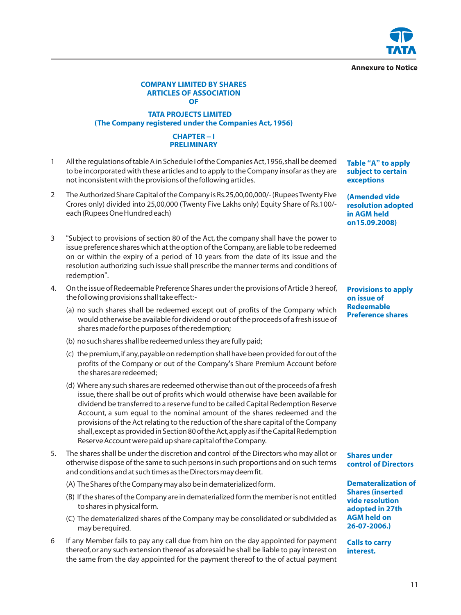**Annexure to Notice**

#### **COMPANY LIMITED BY SHARES ARTICLES OF ASSOCIATION OF**

## **TATA PROJECTS LIMITED (The Company registered under the Companies Act, 1956)**

## **CHAPTER – I PRELIMINARY**

- 1 All the regulations of table A in Schedule I of the Companies Act,1956,shall be deemed to be incorporated with these articles and to apply to the Company insofar as they are not inconsistent with the provisions of the following articles.
- 2 The Authorized Share Capital of the Company is Rs.25,00,00,000/- (Rupees Twenty Five Crores only) divided into 25,00,000 (Twenty Five Lakhs only) Equity Share of Rs.100/ each (Rupees One Hundred each)
- 3 "Subject to provisions of section 80 of the Act, the company shall have the power to issue preference shares which at the option of the Company,are liable to be redeemed on or within the expiry of a period of 10 years from the date of its issue and the resolution authorizing such issue shall prescribe the manner terms and conditions of redemption".
- 4. On the issue of Redeemable Preference Shares under the provisions of Article 3 hereof, the following provisions shall take effect:-
	- (a) no such shares shall be redeemed except out of profits of the Company which would otherwise be available for dividend or out of the proceeds of a fresh issue of shares made for the purposes of the redemption;
	- (b) no such shares shall be redeemed unless they are fully paid;
	- (c) the premium,if any,payable on redemption shall have been provided for out of the profits of the Company or out of the Company's Share Premium Account before the shares are redeemed;
	- (d) Where any such shares are redeemed otherwise than out of the proceeds of a fresh issue, there shall be out of profits which would otherwise have been available for dividend be transferred to a reserve fund to be called Capital Redemption Reserve Account, a sum equal to the nominal amount of the shares redeemed and the provisions of the Act relating to the reduction of the share capital of the Company shall,except as provided in Section 80 of the Act,apply as if the Capital Redemption Reserve Account were paid up share capital of the Company.
- 5. The shares shall be under the discretion and control of the Directors who may allot or otherwise dispose of the same to such persons in such proportions and on such terms and conditions and at such times as the Directors may deem fit.
	- (A) The Shares of the Company may also be in dematerialized form.
	- (B) If the shares of the Company are in dematerialized form the member is not entitled to shares in physical form.
	- (C) The dematerialized shares of the Company may be consolidated or subdivided as may be required.
- 6 If any Member fails to pay any call due from him on the day appointed for payment thereof,or any such extension thereof as aforesaid he shall be liable to pay interest on the same from the day appointed for the payment thereof to the of actual payment

**Table "A" to apply subject to certain exceptions**

**(Amended vide resolution adopted in AGM held on15.09.2008)**

**Provisions to apply on issue of Redeemable Preference shares**

**Shares under control of Directors**

**Demateralization of Shares (inserted vide resolution adopted in 27th AGM held on 26-07-2006.)**

**Calls to carry interest.**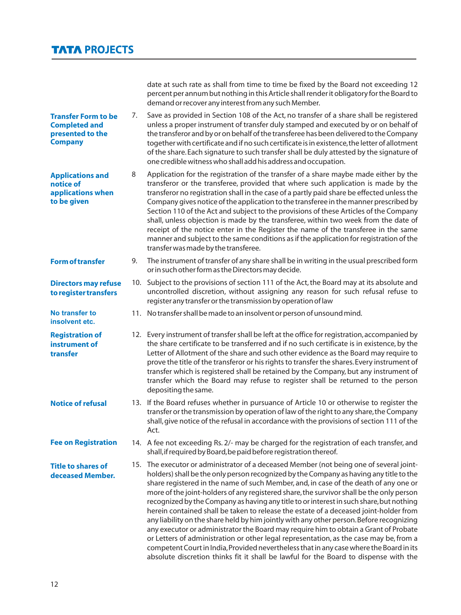date at such rate as shall from time to time be fixed by the Board not exceeding 12 percent per annum but nothing in this Article shall render it obligatory for the Board to demand or recover any interest from any such Member. 7. Save as provided in Section 108 of the Act, no transfer of a share shall be registered unless a proper instrument of transfer duly stamped and executed by or on behalf of the transferor and by or on behalf of the transferee has been delivered to the Company together with certificate and if no such certificate is in existence, the letter of allotment of the share.Each signature to such transfer shall be duly attested by the signature of one credible witness who shall add his address and occupation. 8 Application for the registration of the transfer of a share maybe made either by the transferor or the transferee, provided that where such application is made by the transferor no registration shall in the case of a partly paid share be effected unless the Company gives notice of the application to the transferee in the manner prescribed by Section 110 of the Act and subject to the provisions of these Articles of the Company shall, unless objection is made by the transferee, within two week from the date of receipt of the notice enter in the Register the name of the transferee in the same manner and subject to the same conditions as if the application for registration of the transfer was made by the transferee. 9. The instrument of transfer of any share shall be in writing in the usual prescribed form or in such other form as the Directors may decide. 10. Subject to the provisions of section 111 of the Act, the Board may at its absolute and uncontrolled discretion, without assigning any reason for such refusal refuse to register any transfer or the transmission by operation of law 11. No transfer shall be made to an insolvent or person of unsound mind. 12. Every instrument of transfer shall be left at the office for registration,accompanied by the share certificate to be transferred and if no such certificate is in existence, by the Letter of Allotment of the share and such other evidence as the Board may require to prove the title of the transferor or his rights to transfer the shares.Every instrument of transfer which is registered shall be retained by the Company, but any instrument of transfer which the Board may refuse to register shall be returned to the person depositing the same. 13. If the Board refuses whether in pursuance of Article 10 or otherwise to register the transfer or the transmission by operation of law of the right to any share,the Company shall, give notice of the refusal in accordance with the provisions of section 111 of the Act. 14. A fee not exceeding Rs. 2/- may be charged for the registration of each transfer, and shall,if required by Board,be paid before registration thereof. 15. The executor or administrator of a deceased Member (not being one of several jointholders) shall be the only person recognized by the Company as having any title to the share registered in the name of such Member, and, in case of the death of any one or more of the joint-holders of any registered share, the survivor shall be the only person recognized by the Company as having any title to or interest in such share,but nothing herein contained shall be taken to release the estate of a deceased joint-holder from any liability on the share held by him jointly with any other person.Before recognizing any executor or administrator the Board may require him to obtain a Grant of Probate or Letters of administration or other legal representation, as the case may be, from a competent Court in India,Provided nevertheless that in any case where the Board in its **Transfer Form to be Completed and presented to the Company Applications and notice of applications when to be given Form of transfer Directors may refuse to register transfers No transfer to insolvent etc. Registration of instrument of transfer Notice of refusal Fee on Registration Title to shares of deceased Member.**

absolute discretion thinks fit it shall be lawful for the Board to dispense with the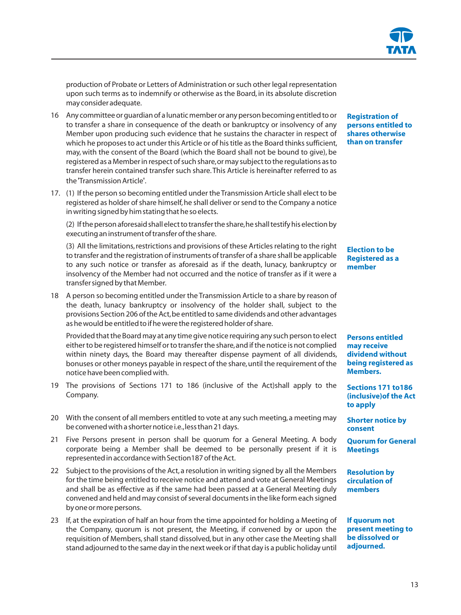production of Probate or Letters of Administration or such other legal representation upon such terms as to indemnify or otherwise as the Board, in its absolute discretion may consider adequate.

- 16 Any committee or guardian of a lunatic member or any person becoming entitled to or to transfer a share in consequence of the death or bankruptcy or insolvency of any Member upon producing such evidence that he sustains the character in respect of which he proposes to act under this Article or of his title as the Board thinks sufficient, may, with the consent of the Board (which the Board shall not be bound to give), be registered as a Member in respect of such share,or may subject to the regulations as to transfer herein contained transfer such share.This Article is hereinafter referred to as the 'Transmission Article'.
- 17. (1) If the person so becoming entitled under the Transmission Article shall elect to be registered as holder of share himself,he shall deliver or send to the Company a notice in writing signed by him stating that he so elects.

(2) If the person aforesaid shall elect to transfer the share,he shall testify his election by executing an instrument of transfer of the share.

(3) All the limitations,restrictions and provisions of these Articles relating to the right to transfer and the registration of instruments of transfer of a share shall be applicable to any such notice or transfer as aforesaid as if the death, lunacy, bankruptcy or insolvency of the Member had not occurred and the notice of transfer as if it were a transfer signed by that Member.

18 A person so becoming entitled under the Transmission Article to a share by reason of the death, lunacy bankruptcy or insolvency of the holder shall, subject to the provisions Section 206 of the Act,be entitled to same dividends and other advantages as he would be entitled to if he were the registered holder of share.

Provided that the Board may at any time give notice requiring any such person to elect either to be registered himself or to transfer the share,and if the notice is not complied within ninety days, the Board may thereafter dispense payment of all dividends, bonuses or other moneys payable in respect of the share,until the requirement of the notice have been complied with.

- 19 The provisions of Sections 171 to 186 (inclusive of the Act)shall apply to the Company.
- 20 With the consent of all members entitled to vote at any such meeting,a meeting may be convened with a shorter notice i.e.,less than 21 days.
- 21 Five Persons present in person shall be quorum for a General Meeting. A body corporate being a Member shall be deemed to be personally present if it is represented in accordance with Section187 of the Act.
- 22 Subject to the provisions of the Act,a resolution in writing signed by all the Members for the time being entitled to receive notice and attend and vote at General Meetings and shall be as effective as if the same had been passed at a General Meeting duly convened and held and may consist of several documents in the like form each signed by one or more persons.
- 23 If, at the expiration of half an hour from the time appointed for holding a Meeting of the Company, quorum is not present, the Meeting, if convened by or upon the requisition of Members, shall stand dissolved, but in any other case the Meeting shall stand adjourned to the same day in the next week or if that day is a public holiday until

#### **Registration of persons entitled to shares otherwise than on transfer**

## **Election to be Registered as a member**

**Persons entitled may receive dividend without being registered as Members.**

**Sections 171 to186 (inclusive)of the Act to apply**

**Shorter notice by consent**

**Quorum for General Meetings** 

**Resolution by circulation of members**

**If quorum not present meeting to be dissolved or adjourned.**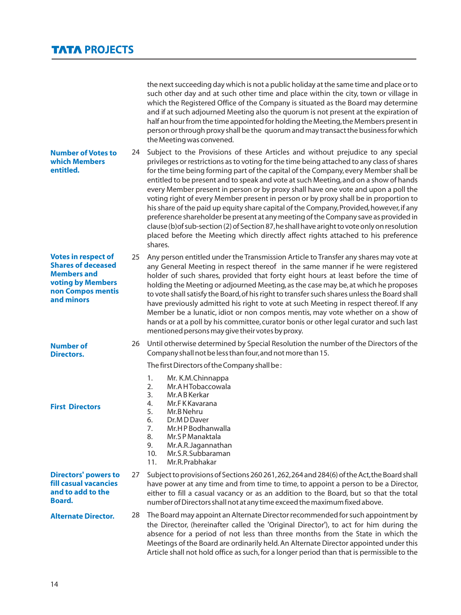|                                                                                                                                              |    | the next succeeding day which is not a public holiday at the same time and place or to<br>such other day and at such other time and place within the city, town or village in<br>which the Registered Office of the Company is situated as the Board may determine<br>and if at such adjourned Meeting also the quorum is not present at the expiration of<br>half an hour from the time appointed for holding the Meeting, the Members present in<br>person or through proxy shall be the quorum and may transact the business for which<br>the Meeting was convened.                                                                                                                                                                                                                                                                                                                                                         |
|----------------------------------------------------------------------------------------------------------------------------------------------|----|--------------------------------------------------------------------------------------------------------------------------------------------------------------------------------------------------------------------------------------------------------------------------------------------------------------------------------------------------------------------------------------------------------------------------------------------------------------------------------------------------------------------------------------------------------------------------------------------------------------------------------------------------------------------------------------------------------------------------------------------------------------------------------------------------------------------------------------------------------------------------------------------------------------------------------|
| <b>Number of Votes to</b><br>which Members<br>entitled.                                                                                      | 24 | Subject to the Provisions of these Articles and without prejudice to any special<br>privileges or restrictions as to voting for the time being attached to any class of shares<br>for the time being forming part of the capital of the Company, every Member shall be<br>entitled to be present and to speak and vote at such Meeting, and on a show of hands<br>every Member present in person or by proxy shall have one vote and upon a poll the<br>voting right of every Member present in person or by proxy shall be in proportion to<br>his share of the paid up equity share capital of the Company, Provided, however, if any<br>preference shareholder be present at any meeting of the Company save as provided in<br>clause (b) of sub-section (2) of Section 87, he shall have aright to vote only on resolution<br>placed before the Meeting which directly affect rights attached to his preference<br>shares. |
| <b>Votes in respect of</b><br><b>Shares of deceased</b><br><b>Members and</b><br><b>voting by Members</b><br>non Compos mentis<br>and minors | 25 | Any person entitled under the Transmission Article to Transfer any shares may vote at<br>any General Meeting in respect thereof in the same manner if he were registered<br>holder of such shares, provided that forty eight hours at least before the time of<br>holding the Meeting or adjourned Meeting, as the case may be, at which he proposes<br>to vote shall satisfy the Board, of his right to transfer such shares unless the Board shall<br>have previously admitted his right to vote at such Meeting in respect thereof. If any<br>Member be a lunatic, idiot or non compos mentis, may vote whether on a show of<br>hands or at a poll by his committee, curator bonis or other legal curator and such last<br>mentioned persons may give their votes by proxy.                                                                                                                                                 |
| <b>Number of</b><br><b>Directors.</b>                                                                                                        | 26 | Until otherwise determined by Special Resolution the number of the Directors of the<br>Company shall not be less than four, and not more than 15.                                                                                                                                                                                                                                                                                                                                                                                                                                                                                                                                                                                                                                                                                                                                                                              |
|                                                                                                                                              |    | The first Directors of the Company shall be:                                                                                                                                                                                                                                                                                                                                                                                                                                                                                                                                                                                                                                                                                                                                                                                                                                                                                   |
| <b>First Directors</b>                                                                                                                       |    | 1.<br>Mr. K.M.Chinnappa<br>2.<br>Mr.A HTobaccowala<br>3.<br>Mr.ABKerkar<br>4.<br>Mr.FKKavarana<br>5.<br>Mr.B Nehru<br>6.<br>Dr.MDDaver<br>Mr.HPBodhanwalla<br>7.<br>8.<br>Mr.SP Manaktala<br>9.<br>Mr.A.R.Jagannathan                                                                                                                                                                                                                                                                                                                                                                                                                                                                                                                                                                                                                                                                                                          |
|                                                                                                                                              |    | Mr.S.R.Subbaraman<br>10.<br>Mr.R.Prabhakar<br>11.                                                                                                                                                                                                                                                                                                                                                                                                                                                                                                                                                                                                                                                                                                                                                                                                                                                                              |
| <b>Directors' powers to</b><br>fill casual vacancies<br>and to add to the<br><b>Board.</b>                                                   | 27 | Subject to provisions of Sections 260 261, 262, 264 and 284(6) of the Act, the Board shall<br>have power at any time and from time to time, to appoint a person to be a Director,<br>either to fill a casual vacancy or as an addition to the Board, but so that the total<br>number of Directors shall not at any time exceed the maximum fixed above.                                                                                                                                                                                                                                                                                                                                                                                                                                                                                                                                                                        |
| <b>Alternate Director.</b>                                                                                                                   | 28 | The Board may appoint an Alternate Director recommended for such appointment by<br>the Director, (hereinafter called the 'Original Director'), to act for him during the<br>absence for a period of not less than three months from the State in which the<br>Meetings of the Board are ordinarily held. An Alternate Director appointed under this<br>Article shall not hold office as such, for a longer period than that is permissible to the                                                                                                                                                                                                                                                                                                                                                                                                                                                                              |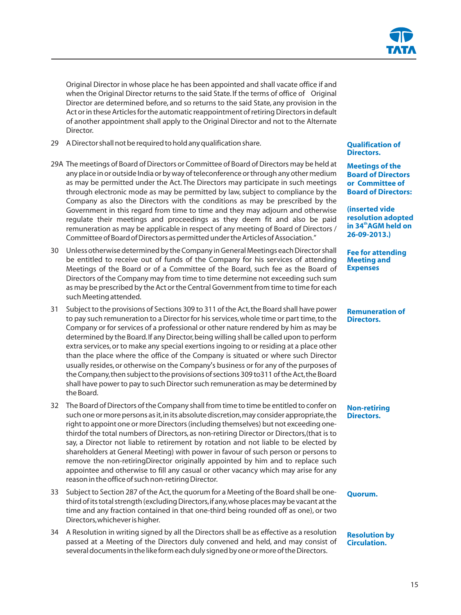Original Director in whose place he has been appointed and shall vacate office if and when the Original Director returns to the said State. If the terms of office of Original Director are determined before, and so returns to the said State, any provision in the Act or in these Articles for the automatic reappointment of retiring Directors in default of another appointment shall apply to the Original Director and not to the Alternate Director.

- 29 A Director shall not be required to hold any qualification share.
- 29A The meetings of Board of Directors or Committee of Board of Directors may be held at any place in or outside India or by way of teleconference or through any other medium as may be permitted under the Act. The Directors may participate in such meetings through electronic mode as may be permitted by law, subject to compliance by the Company as also the Directors with the conditions as may be prescribed by the Government in this regard from time to time and they may adjourn and otherwise regulate their meetings and proceedings as they deem fit and also be paid remuneration as may be applicable in respect of any meeting of Board of Directors / Committee of Board of Directors as permitted under the Articles of Association."
- 30 Unless otherwise determined by the Company in General Meetings each Director shall be entitled to receive out of funds of the Company for his services of attending Meetings of the Board or of a Committee of the Board, such fee as the Board of Directors of the Company may from time to time determine not exceeding such sum as may be prescribed by the Act or the Central Government from time to time for each such Meeting attended.
- 31 Subject to the provisions of Sections 309 to 311 of the Act,the Board shall have power to pay such remuneration to a Director for his services, whole time or part time, to the Company or for services of a professional or other nature rendered by him as may be determined by the Board.If any Director,being willing shall be called upon to perform extra services,or to make any special exertions ingoing to or residing at a place other than the place where the office of the Company is situated or where such Director usually resides,or otherwise on the Company's business or for any of the purposes of the Company,then subject to the provisions of sections 309 to311 of the Act,the Board shall have power to pay to such Director such remuneration as may be determined by the Board.
- 32 The Board of Directors of the Company shall from time to time be entitled to confer on such one or more persons as it,in its absolute discretion,may consider appropriate,the right to appoint one or more Directors (including themselves) but not exceeding onethirdof the total numbers of Directors, as non-retiring Director or Directors,(that is to say, a Director not liable to retirement by rotation and not liable to be elected by shareholders at General Meeting) with power in favour of such person or persons to remove the non-retiringDirector originally appointed by him and to replace such appointee and otherwise to fill any casual or other vacancy which may arise for any reason in the office of such non-retiring Director.
- 33 Subject to Section 287 of the Act,the quorum for a Meeting of the Board shall be onethird of its total strength (excluding Directors,if any,whose places may be vacant at the time and any fraction contained in that one-third being rounded off as one), or two Directors,whichever is higher.
- 34 A Resolution in writing signed by all the Directors shall be as effective as a resolution passed at a Meeting of the Directors duly convened and held, and may consist of several documents in the like form each duly signed by one or more of the Directors.

#### **Qualification of Directors.**

**Meetings of the Board of Directors or Committee of Board of Directors:**

**(inserted vide resolution adopted th in 34 AGM held on 26-09-2013.)**

**Fee for attending Meeting and Expenses**

**Remuneration of Directors.**

**Non-retiring Directors.**

#### **Quorum.**

#### **Resolution by Circulation.**

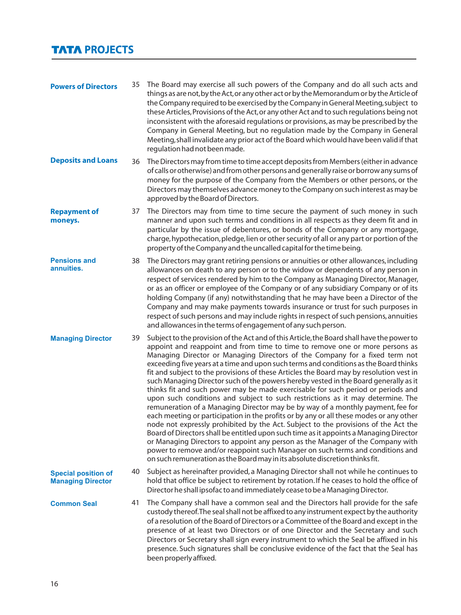# **TATA PROJECTS**

| <b>Powers of Directors</b>                             | 35 | The Board may exercise all such powers of the Company and do all such acts and<br>things as are not, by the Act, or any other act or by the Memorandum or by the Article of<br>the Company required to be exercised by the Company in General Meeting, subject to<br>these Articles, Provisions of the Act, or any other Act and to such regulations being not<br>inconsistent with the aforesaid regulations or provisions, as may be prescribed by the<br>Company in General Meeting, but no regulation made by the Company in General<br>Meeting, shall invalidate any prior act of the Board which would have been valid if that<br>regulation had not been made.                                                                                                                                                                                                                                                                                                                                                                                                                                                                                                                                                                                                                                                        |
|--------------------------------------------------------|----|------------------------------------------------------------------------------------------------------------------------------------------------------------------------------------------------------------------------------------------------------------------------------------------------------------------------------------------------------------------------------------------------------------------------------------------------------------------------------------------------------------------------------------------------------------------------------------------------------------------------------------------------------------------------------------------------------------------------------------------------------------------------------------------------------------------------------------------------------------------------------------------------------------------------------------------------------------------------------------------------------------------------------------------------------------------------------------------------------------------------------------------------------------------------------------------------------------------------------------------------------------------------------------------------------------------------------|
| <b>Deposits and Loans</b>                              | 36 | The Directors may from time to time accept deposits from Members (either in advance<br>of calls or otherwise) and from other persons and generally raise or borrow any sums of<br>money for the purpose of the Company from the Members or other persons, or the<br>Directors may themselves advance money to the Company on such interest as may be<br>approved by the Board of Directors.                                                                                                                                                                                                                                                                                                                                                                                                                                                                                                                                                                                                                                                                                                                                                                                                                                                                                                                                  |
| <b>Repayment of</b><br>moneys.                         | 37 | The Directors may from time to time secure the payment of such money in such<br>manner and upon such terms and conditions in all respects as they deem fit and in<br>particular by the issue of debentures, or bonds of the Company or any mortgage,<br>charge, hypothecation, pledge, lien or other security of all or any part or portion of the<br>property of the Company and the uncalled capital for the time being.                                                                                                                                                                                                                                                                                                                                                                                                                                                                                                                                                                                                                                                                                                                                                                                                                                                                                                   |
| <b>Pensions and</b><br>annuities.                      | 38 | The Directors may grant retiring pensions or annuities or other allowances, including<br>allowances on death to any person or to the widow or dependents of any person in<br>respect of services rendered by him to the Company as Managing Director, Manager,<br>or as an officer or employee of the Company or of any subsidiary Company or of its<br>holding Company (if any) notwithstanding that he may have been a Director of the<br>Company and may make payments towards insurance or trust for such purposes in<br>respect of such persons and may include rights in respect of such pensions, annuities<br>and allowances in the terms of engagement of any such person.                                                                                                                                                                                                                                                                                                                                                                                                                                                                                                                                                                                                                                          |
| <b>Managing Director</b>                               | 39 | Subject to the provision of the Act and of this Article, the Board shall have the power to<br>appoint and reappoint and from time to time to remove one or more persons as<br>Managing Director or Managing Directors of the Company for a fixed term not<br>exceeding five years at a time and upon such terms and conditions as the Board thinks<br>fit and subject to the provisions of these Articles the Board may by resolution vest in<br>such Managing Director such of the powers hereby vested in the Board generally as it<br>thinks fit and such power may be made exercisable for such period or periods and<br>upon such conditions and subject to such restrictions as it may determine. The<br>remuneration of a Managing Director may be by way of a monthly payment, fee for<br>each meeting or participation in the profits or by any or all these modes or any other<br>node not expressly prohibited by the Act. Subject to the provisions of the Act the<br>Board of Directors shall be entitled upon such time as it appoints a Managing Director<br>or Managing Directors to appoint any person as the Manager of the Company with<br>power to remove and/or reappoint such Manager on such terms and conditions and<br>on such remuneration as the Board may in its absolute discretion thinks fit. |
| <b>Special position of</b><br><b>Managing Director</b> | 40 | Subject as hereinafter provided, a Managing Director shall not while he continues to<br>hold that office be subject to retirement by rotation. If he ceases to hold the office of<br>Director he shall ipsofac to and immediately cease to be a Managing Director.                                                                                                                                                                                                                                                                                                                                                                                                                                                                                                                                                                                                                                                                                                                                                                                                                                                                                                                                                                                                                                                           |
| <b>Common Seal</b>                                     | 41 | The Company shall have a common seal and the Directors hall provide for the safe<br>custody thereof. The seal shall not be affixed to any instrument expect by the authority<br>of a resolution of the Board of Directors or a Committee of the Board and except in the<br>presence of at least two Directors or of one Director and the Secretary and such<br>Directors or Secretary shall sign every instrument to which the Seal be affixed in his<br>presence. Such signatures shall be conclusive evidence of the fact that the Seal has<br>been properly affixed.                                                                                                                                                                                                                                                                                                                                                                                                                                                                                                                                                                                                                                                                                                                                                      |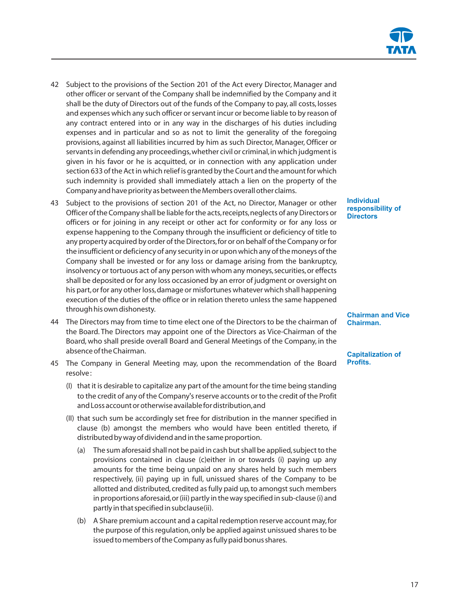- 42 Subject to the provisions of the Section 201 of the Act every Director, Manager and other officer or servant of the Company shall be indemnified by the Company and it shall be the duty of Directors out of the funds of the Company to pay, all costs, losses and expenses which any such officer or servant incur or become liable to by reason of any contract entered into or in any way in the discharges of his duties including expenses and in particular and so as not to limit the generality of the foregoing provisions, against all liabilities incurred by him as such Director, Manager,Officer or servants in defending any proceedings,whether civil or criminal,in which judgment is given in his favor or he is acquitted, or in connection with any application under section 633 of the Act in which relief is granted by the Court and the amount for which such indemnity is provided shall immediately attach a lien on the property of the Company and have priority as between the Members overall other claims.
- 43 Subject to the provisions of section 201 of the Act, no Director, Manager or other Officer of the Company shall be liable for the acts, receipts, neglects of any Directors or officers or for joining in any receipt or other act for conformity or for any loss or expense happening to the Company through the insufficient or deficiency of title to any property acquired by order of the Directors,for or on behalf of the Company or for the insufficient or deficiency of any security in or upon which any of the moneys of the Company shall be invested or for any loss or damage arising from the bankruptcy, insolvency or tortuous act of any person with whom any moneys, securities, or effects shall be deposited or for any loss occasioned by an error of judgment or oversight on his part, or for any other loss, damage or misfortunes whatever which shall happening execution of the duties of the office or in relation thereto unless the same happened through his own dishonesty.
- 44 The Directors may from time to time elect one of the Directors to be the chairman of the Board. The Directors may appoint one of the Directors as Vice-Chairman of the Board, who shall preside overall Board and General Meetings of the Company, in the absence of the Chairman.
- 45 The Company in General Meeting may, upon the recommendation of the Board resolve :
	- (I) that it is desirable to capitalize any part of the amount for the time being standing to the credit of any of the Company's reserve accounts or to the credit of the Profit and Loss account or otherwise available for distribution,and
	- (II) that such sum be accordingly set free for distribution in the manner specified in clause (b) amongst the members who would have been entitled thereto, if distributed by way of dividend and in the same proportion.
		- (a) The sum aforesaid shall not be paid in cash but shall be applied,subject to the provisions contained in clause (c)either in or towards (i) paying up any amounts for the time being unpaid on any shares held by such members respectively, (ii) paying up in full, unissued shares of the Company to be allotted and distributed, credited as fully paid up,to amongst such members in proportions aforesaid,or (iii) partly in the way specified in sub-clause (i) and partly in that specified in subclause(ii).
		- (b) A Share premium account and a capital redemption reserve account may,for the purpose of this regulation,only be applied against unissued shares to be issued to members of the Company as fully paid bonus shares.

**Individual responsibility of Directors**

**Chairman and Vice Chairman.**

**Capitalization of Profits.**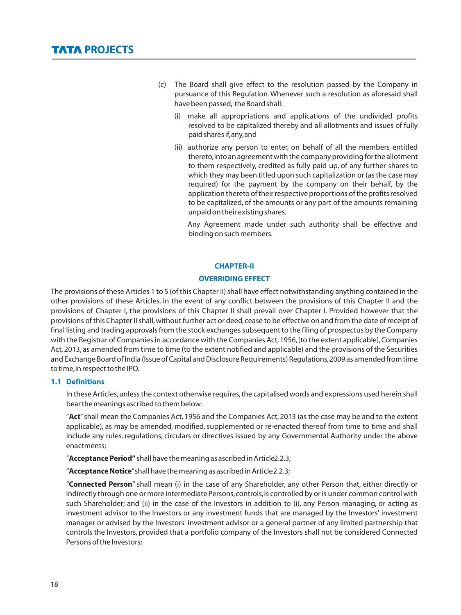- (c) The Board shall give effect to the resolution passed by the Company in pursuance of this Regulation. Whenever such a resolution as aforesaid shall have been passed, the Board shall:
	- (i) make all appropriations and applications of the undivided profits resolved to be capitalized thereby and all allotments and issues of fully paid shares if,any,and
	- (ii) authorize any person to enter, on behalf of all the members entitled thereto,into an agreement with the company providing for the allotment to them respectively, credited as fully paid up, of any further shares to which they may been titled upon such capitalization or (as the case may required) for the payment by the company on their behalf, by the application thereto of their respective proportions of the profits resolved to be capitalized, of the amounts or any part of the amounts remaining unpaid on their existing shares.

Any Agreement made under such authority shall be effective and binding on such members.

#### **CHAPTER-II**

#### **OVERRIDING EFFECT**

The provisions of these Articles 1 to 5 (of this Chapter II) shall have effect notwithstanding anything contained in the other provisions of these Articles. In the event of any conflict between the provisions of this Chapter II and the provisions of Chapter I, the provisions of this Chapter II shall prevail over Chapter I. Provided however that the provisions of this Chapter II shall, without further act or deed, cease to be effective on and from the date of receipt of final listing and trading approvals from the stock exchanges subsequent to the filing of prospectus by the Company with the Registrar of Companies in accordance with the Companies Act,1956,(to the extent applicable),Companies Act, 2013, as amended from time to time (to the extent notified and applicable) and the provisions of the Securities and Exchange Board of India (Issue of Capital and Disclosure Requirements) Regulations,2009 as amended from time to time,in respect to the IPO.

#### **1.1 Definitions**

In these Articles,unless the context otherwise requires,the capitalised words and expressions used herein shall bear the meanings ascribed to them below:

"**Act**" shall mean the Companies Act, 1956 and the Companies Act, 2013 (as the case may be and to the extent applicable), as may be amended, modified, supplemented or re-enacted thereof from time to time and shall include any rules, regulations, circulars or directives issued by any Governmental Authority under the above enactments;

"**Acceptance Period"** shall have the meaning as ascribed in Article2.2.3;

"**Acceptance Notice**"shall have the meaning as ascribed in Article 2.2.3;

"**Connected Person**" shall mean (i) in the case of any Shareholder, any other Person that, either directly or indirectly through one or more intermediate Persons,controls,is controlled by or is under common control with such Shareholder; and (ii) in the case of the Investors in addition to (i), any Person managing, or acting as investment advisor to the Investors or any investment funds that are managed by the Investors' investment manager or advised by the Investors' investment advisor or a general partner of any limited partnership that controls the Investors, provided that a portfolio company of the Investors shall not be considered Connected Persons of the Investors;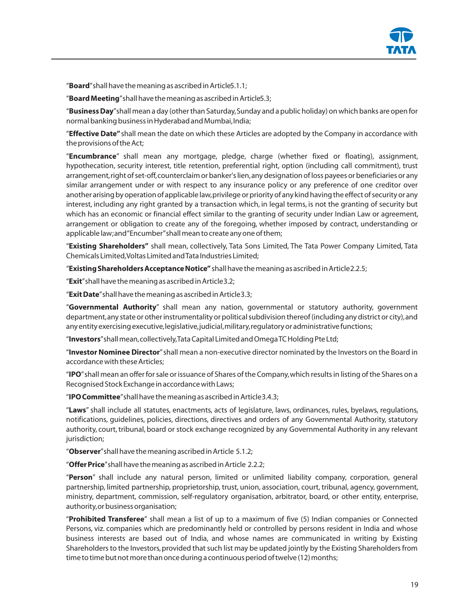

"**Board**"shall have the meaning as ascribed in Article5.1.1;

"**Board Meeting**"shall have the meaning as ascribed in Article5.3;

"**Business Day**"shall mean a day (other than Saturday,Sunday and a public holiday) on which banks are open for normal banking business in Hyderabad and Mumbai,India;

"**Effective Date"** shall mean the date on which these Articles are adopted by the Company in accordance with the provisions of the Act;

"**Encumbrance**" shall mean any mortgage, pledge, charge (whether fixed or floating), assignment, hypothecation, security interest, title retention, preferential right, option (including call commitment), trust arrangement,right of set-off,counterclaim or banker's lien,any designation of loss payees or beneficiaries or any similar arrangement under or with respect to any insurance policy or any preference of one creditor over another arising by operation of applicable law,privilege or priority of any kind having the effect of security or any interest, including any right granted by a transaction which, in legal terms, is not the granting of security but which has an economic or financial effect similar to the granting of security under Indian Law or agreement, arrangement or obligation to create any of the foregoing, whether imposed by contract, understanding or applicable law;and "Encumber"shall mean to create any one of them;

"**Existing Shareholders"** shall mean, collectively, Tata Sons Limited, The Tata Power Company Limited, Tata Chemicals Limited,Voltas Limited and Tata Industries Limited;

"**Existing Shareholders Acceptance Notice"** shall have the meaning as ascribed in Article 2.2.5;

"**Exit**"shall have the meaning as ascribed in Article 3.2;

"**Exit Date**"shall have the meaning as ascribed in Article 3.3;

"**Governmental Authority**" shall mean any nation, governmental or statutory authority, government department,any state or other instrumentality or political subdivision thereof (including any district or city),and any entity exercising executive, legislative, judicial, military, regulatory or administrative functions;

"**Investors**"shall mean,collectively,Tata Capital Limited and Omega TC Holding Pte Ltd;

"**Investor Nominee Director**"shall mean a non-executive director nominated by the Investors on the Board in accordance with these Articles;

"**IPO**"shall mean an offer for sale or issuance of Shares of the Company,which results in listing of the Shares on a Recognised Stock Exchange in accordance with Laws;

"**IPO Committee**"shall have the meaning as ascribed in Article 3.4.3;

"**Laws**" shall include all statutes, enactments, acts of legislature, laws, ordinances, rules, byelaws, regulations, notifications, guidelines, policies, directions, directives and orders of any Governmental Authority, statutory authority, court, tribunal, board or stock exchange recognized by any Governmental Authority in any relevant jurisdiction;

"**Observer**"shall have the meaning ascribed in Article 5.1.2;

"**Offer Price**"shall have the meaning as ascribed in Article 2.2.2;

"**Person**" shall include any natural person, limited or unlimited liability company, corporation, general partnership, limited partnership, proprietorship, trust, union, association, court, tribunal, agency, government, ministry, department, commission, self-regulatory organisation, arbitrator, board, or other entity, enterprise, authority,or business organisation;

"**Prohibited Transferee**" shall mean a list of up to a maximum of five (5) Indian companies or Connected Persons, viz. companies which are predominantly held or controlled by persons resident in India and whose business interests are based out of India, and whose names are communicated in writing by Existing Shareholders to the Investors, provided that such list may be updated jointly by the Existing Shareholders from time to time but not more than once during a continuous period of twelve (12) months;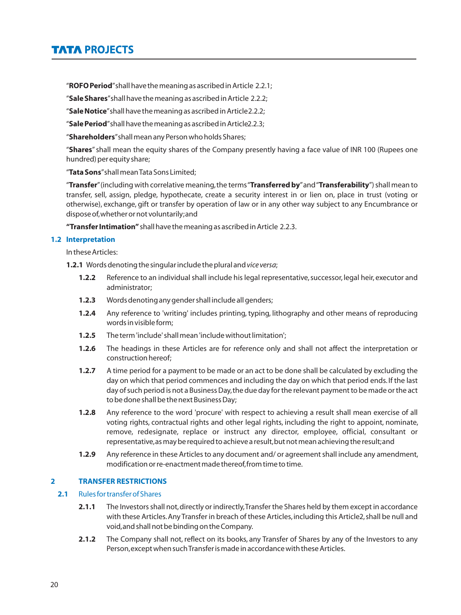"**ROFO Period**"shall have the meaning as ascribed in Article 2.2.1;

"**Sale Shares**"shall have the meaning as ascribed in Article 2.2.2;

"**Sale Notice**"shall have the meaning as ascribed in Article 2.2.2;

"**Sale Period**"shall have the meaning as ascribed in Article2.2.3;

"**Shareholders**"shall mean any Person who holds Shares;

"**Shares**"shall mean the equity shares of the Company presently having a face value of INR 100 (Rupees one hundred) per equity share;

"**Tata Sons**"shall mean Tata Sons Limited;

"**Transfer**"(including with correlative meaning,the terms "**Transferred by**"and "**Transferability**") shall mean to transfer, sell, assign, pledge, hypothecate, create a security interest in or lien on, place in trust (voting or otherwise), exchange, gift or transfer by operation of law or in any other way subject to any Encumbrance or dispose of,whether or not voluntarily;and

**"Transfer Intimation"** shall have the meaning as ascribed in Article 2.2.3.

## **1.2 Interpretation**

In these Articles:

**1.2.1** Words denoting the singular include the plural and *vice versa*;

- **1.2.2** Reference to an individual shall include his legal representative, successor, legal heir, executor and administrator;
- **1.2.3** Words denoting any gender shall include all genders;
- **1.2.4** Any reference to 'writing' includes printing, typing, lithography and other means of reproducing words in visible form;
- **1.2.5** The term 'include'shall mean 'include without limitation';
- **1.2.6** The headings in these Articles are for reference only and shall not affect the interpretation or construction hereof;
- **1.2.7** A time period for a payment to be made or an act to be done shall be calculated by excluding the day on which that period commences and including the day on which that period ends. If the last day of such period is not a Business Day,the due day for the relevant payment to be made or the act to be done shall be the next Business Day;
- **1.2.8** Any reference to the word 'procure' with respect to achieving a result shall mean exercise of all voting rights, contractual rights and other legal rights, including the right to appoint, nominate, remove, redesignate, replace or instruct any director, employee, official, consultant or representative,as may be required to achieve a result,but not mean achieving the result;and
- **1.2.9** Any reference in these Articles to any document and/ or agreement shall include any amendment, modification or re-enactment made thereof,from time to time.

## **2 TRANSFER RESTRICTIONS**

## **2.1** Rules for transfer of Shares

- **2.1.1** The Investors shall not,directly or indirectly,Transfer the Shares held by them except in accordance with these Articles. Any Transfer in breach of these Articles, including this Article2, shall be null and void,and shall not be binding on the Company.
- **2.1.2** The Company shall not, reflect on its books, any Transfer of Shares by any of the Investors to any Person,except when such Transfer is made in accordance with these Articles.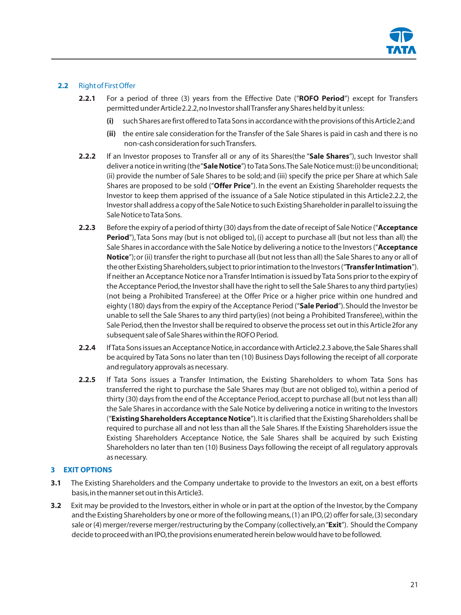

# **2.2** Right of First Offer

- **2.2.1** For a period of three (3) years from the Effective Date ("**ROFO Period**") except for Transfers permitted under Article2.2.2,no Investor shall Transfer any Shares held by it unless:
	- **(i)** such Shares are first offered to Tata Sons in accordance with the provisions of this Article 2;and
	- **(ii)** the entire sale consideration for the Transfer of the Sale Shares is paid in cash and there is no non-cash consideration for such Transfers.
- **2.2.2** If an Investor proposes to Transfer all or any of its Shares(the "**Sale Shares**"), such Investor shall deliver a notice in writing (the "**Sale Notice**") to Tata Sons.The Sale Notice must:(i) be unconditional; (ii) provide the number of Sale Shares to be sold; and (iii) specify the price per Share at which Sale Shares are proposed to be sold ("**Offer Price**"). In the event an Existing Shareholder requests the Investor to keep them apprised of the issuance of a Sale Notice stipulated in this Article2.2.2, the Investor shall address a copy of the Sale Notice to such Existing Shareholder in parallel to issuing the Sale Notice to Tata Sons.
- **2.2.3** Before the expiry of a period of thirty (30) days from the date of receipt of Sale Notice ("**Acceptance Period**"), Tata Sons may (but is not obliged to), (i) accept to purchase all (but not less than all) the Sale Shares in accordance with the Sale Notice by delivering a notice to the Investors ("**Acceptance Notice**");or (ii) transfer the right to purchase all (but not less than all) the Sale Shares to any or all of the other Existing Shareholders,subject to prior intimation to the Investors ("**Transfer Intimation**"). If neither an Acceptance Notice nor a Transfer Intimation is issued by Tata Sons prior to the expiry of the Acceptance Period,the Investor shall have the right to sell the Sale Shares to any third party(ies) (not being a Prohibited Transferee) at the Offer Price or a higher price within one hundred and eighty (180) days from the expiry of the Acceptance Period ("**Sale Period**").Should the Investor be unable to sell the Sale Shares to any third party(ies) (not being a Prohibited Transferee),within the Sale Period,then the Investor shall be required to observe the process set out in this Article 2for any subsequent sale of Sale Shares within the ROFO Period.
- **2.2.4** If Tata Sons issues an Acceptance Notice,in accordance with Article2.2.3 above,the Sale Shares shall be acquired by Tata Sons no later than ten (10) Business Days following the receipt of all corporate and regulatory approvals as necessary.
- **2.2.5** If Tata Sons issues a Transfer Intimation, the Existing Shareholders to whom Tata Sons has transferred the right to purchase the Sale Shares may (but are not obliged to), within a period of thirty (30) days from the end of the Acceptance Period,accept to purchase all (but not less than all) the Sale Shares in accordance with the Sale Notice by delivering a notice in writing to the Investors ("**Existing Shareholders Acceptance Notice**").It is clarified that the Existing Shareholders shall be required to purchase all and not less than all the Sale Shares. If the Existing Shareholders issue the Existing Shareholders Acceptance Notice, the Sale Shares shall be acquired by such Existing Shareholders no later than ten (10) Business Days following the receipt of all regulatory approvals as necessary.

## **3 EXIT OPTIONS**

- **3.1** The Existing Shareholders and the Company undertake to provide to the Investors an exit, on a best efforts basis,in the manner set out in this Article3.
- **3.2** Exit may be provided to the Investors, either in whole or in part at the option of the Investor, by the Company and the Existing Shareholders by one or more of the following means,(1) an IPO,(2) offer for sale,(3) secondary sale or (4) merger/reverse merger/restructuring by the Company (collectively,an "**Exit**"). Should the Company decide to proceed with an IPO,the provisions enumerated herein below would have to be followed.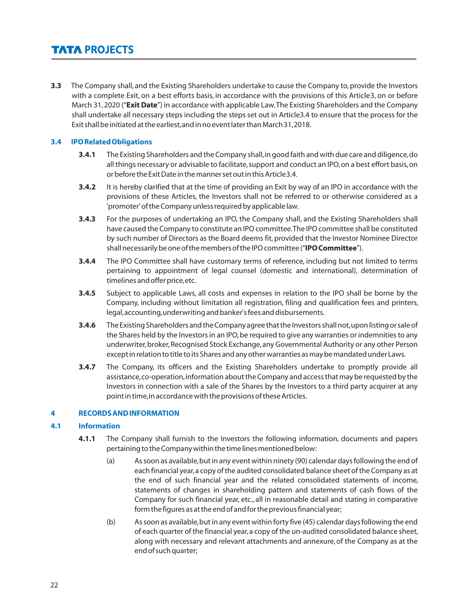**3.3** The Company shall, and the Existing Shareholders undertake to cause the Company to, provide the Investors with a complete Exit, on a best efforts basis, in accordance with the provisions of this Article3, on or before March 31,2020 ("**Exit Date**") in accordance with applicable Law.The Existing Shareholders and the Company shall undertake all necessary steps including the steps set out in Article3.4 to ensure that the process for the Exit shall be initiated at the earliest,and in no event later than March 31,2018.

## **3.4 IPO Related Obligations**

- **3.4.1** The Existing Shareholders and the Company shall,in good faith and with due care and diligence,do all things necessary or advisable to facilitate, support and conduct an IPO, on a best effort basis, on or before the Exit Date in the manner set out in this Article 3.4.
- **3.4.2** It is hereby clarified that at the time of providing an Exit by way of an IPO in accordance with the provisions of these Articles, the Investors shall not be referred to or otherwise considered as a 'promoter' of the Company unless required by applicable law.
- **3.4.3** For the purposes of undertaking an IPO, the Company shall, and the Existing Shareholders shall have caused the Company to constitute an IPO committee.The IPO committee shall be constituted by such number of Directors as the Board deems fit, provided that the Investor Nominee Director shall necessarily be one of the members of the IPO committee ("**IPO Committee**").
- **3.4.4** The IPO Committee shall have customary terms of reference, including but not limited to terms pertaining to appointment of legal counsel (domestic and international), determination of timelines and offer price,etc.
- **3.4.5** Subject to applicable Laws, all costs and expenses in relation to the IPO shall be borne by the Company, including without limitation all registration, filing and qualification fees and printers, legal,accounting,underwriting and banker's fees and disbursements.
- **3.4.6** The Existing Shareholders and the Company agree that the Investors shall not,upon listing or sale of the Shares held by the Investors in an IPO, be required to give any warranties or indemnities to any underwriter, broker, Recognised Stock Exchange, any Governmental Authority or any other Person except in relation to title to its Shares and any other warranties as may be mandated under Laws.
- **3.4.7** The Company, its officers and the Existing Shareholders undertake to promptly provide all assistance,co-operation,information about the Company and access that may be requested by the Investors in connection with a sale of the Shares by the Investors to a third party acquirer at any point in time,in accordance with the provisions of these Articles.

## **4 RECORDS AND INFORMATION**

## **4.1 Information**

- **4.1.1** The Company shall furnish to the Investors the following information, documents and papers pertaining to the Company within the time lines mentioned below:
	- (a) As soon as available,but in any event within ninety (90) calendar days following the end of each financial year,a copy of the audited consolidated balance sheet of the Company as at the end of such financial year and the related consolidated statements of income, statements of changes in shareholding pattern and statements of cash flows of the Company for such financial year, etc., all in reasonable detail and stating in comparative form the figures as at the end of and for the previous financial year;
	- (b) As soon as available,but in any event within forty five (45) calendar days following the end of each quarter of the financial year,a copy of the un-audited consolidated balance sheet, along with necessary and relevant attachments and annexure, of the Company as at the end of such quarter;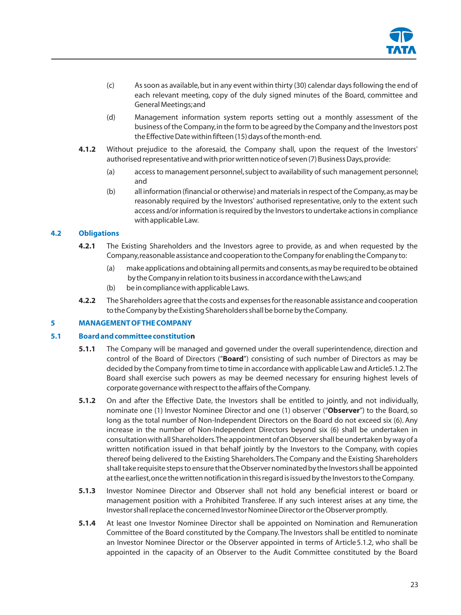

- (c) As soon as available, but in any event within thirty (30) calendar days following the end of each relevant meeting, copy of the duly signed minutes of the Board, committee and General Meetings;and
- (d) Management information system reports setting out a monthly assessment of the business of the Company,in the form to be agreed by the Company and the Investors post the Effective Date within fifteen (15) days of the month-end.
- **4.1.2** Without prejudice to the aforesaid, the Company shall, upon the request of the Investors' authorised representative and with prior written notice of seven (7) Business Days,provide:
	- (a) access to management personnel, subject to availability of such management personnel; and
	- (b) all information (financial or otherwise) and materials in respect of the Company,as may be reasonably required by the Investors' authorised representative, only to the extent such access and/or information is required by the Investors to undertake actions in compliance with applicable Law.

# **4.2 Obligations**

- **4.2.1** The Existing Shareholders and the Investors agree to provide, as and when requested by the Company,reasonable assistance and cooperation to the Company for enabling the Company to:
	- (a) make applications and obtaining all permits and consents,as may be required to be obtained by the Company in relation to its business in accordance with the Laws;and
	- (b) be in compliance with applicable Laws.
- **4.2.2** The Shareholders agree that the costs and expenses for the reasonable assistance and cooperation to the Company by the Existing Shareholders shall be borne by the Company.

## **5 MANAGEMENT OF THE COMPANY**

## **5.1 Board and committee constitution**

- **5.1.1** The Company will be managed and governed under the overall superintendence, direction and control of the Board of Directors ("**Board**") consisting of such number of Directors as may be decided by the Company from time to time in accordance with applicable Law and Article5.1.2.The Board shall exercise such powers as may be deemed necessary for ensuring highest levels of corporate governance with respect to the affairs of the Company.
- **5.1.2** On and after the Effective Date, the Investors shall be entitled to jointly, and not individually, nominate one (1) Investor Nominee Director and one (1) observer ("**Observer**") to the Board,so long as the total number of Non-Independent Directors on the Board do not exceed six (6). Any increase in the number of Non-Independent Directors beyond six (6) shall be undertaken in consultation with all Shareholders.The appointment of an Observer shall be undertaken by way of a written notification issued in that behalf jointly by the Investors to the Company, with copies thereof being delivered to the Existing Shareholders.The Company and the Existing Shareholders shall take requisite steps to ensure that the Observer nominated by the Investors shall be appointed at the earliest,once the written notification in this regard is issued by the Investors to the Company.
- **5.1.3** Investor Nominee Director and Observer shall not hold any beneficial interest or board or management position with a Prohibited Transferee. If any such interest arises at any time, the Investor shall replace the concerned Investor Nominee Director or the Observer promptly.
- **5.1.4** At least one Investor Nominee Director shall be appointed on Nomination and Remuneration Committee of the Board constituted by the Company.The Investors shall be entitled to nominate an Investor Nominee Director or the Observer appointed in terms of Article5.1.2, who shall be appointed in the capacity of an Observer to the Audit Committee constituted by the Board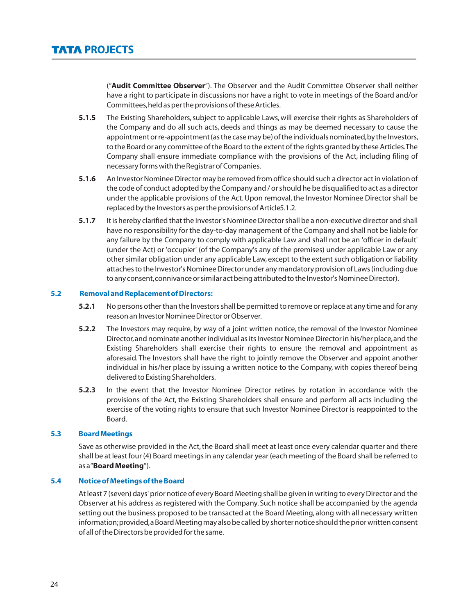("**Audit Committee Observer**"). The Observer and the Audit Committee Observer shall neither have a right to participate in discussions nor have a right to vote in meetings of the Board and/or Committees,held as per the provisions of these Articles.

- **5.1.5** The Existing Shareholders, subject to applicable Laws, will exercise their rights as Shareholders of the Company and do all such acts, deeds and things as may be deemed necessary to cause the appointment or re-appointment (as the case may be) of the individuals nominated,by the Investors, to the Board or any committee of the Board to the extent of the rights granted by these Articles.The Company shall ensure immediate compliance with the provisions of the Act, including filing of necessary forms with the Registrar of Companies.
- **5.1.6** An Investor Nominee Director may be removed from office should such a director act in violation of the code of conduct adopted by the Company and / or should he be disqualified to act as a director under the applicable provisions of the Act. Upon removal, the Investor Nominee Director shall be replaced by the Investors as per the provisions of Article5.1.2.
- **5.1.7** It is hereby clarified that the Investor's Nominee Director shall be a non-executive director and shall have no responsibility for the day-to-day management of the Company and shall not be liable for any failure by the Company to comply with applicable Law and shall not be an 'officer in default' (under the Act) or 'occupier' (of the Company's any of the premises) under applicable Law or any other similar obligation under any applicable Law, except to the extent such obligation or liability attaches to the Investor's Nominee Director under any mandatory provision of Laws (including due to any consent,connivance or similar act being attributed to the Investor's Nominee Director).

## **5.2 Removal and Replacement of Directors:**

- **5.2.1** No persons other than the Investors shall be permitted to remove or replace at any time and for any reason an Investor Nominee Director or Observer.
- **5.2.2** The Investors may require, by way of a joint written notice, the removal of the Investor Nominee Director,and nominate another individual as its Investor Nominee Director in his/her place,and the Existing Shareholders shall exercise their rights to ensure the removal and appointment as aforesaid. The Investors shall have the right to jointly remove the Observer and appoint another individual in his/her place by issuing a written notice to the Company, with copies thereof being delivered to Existing Shareholders.
- **5.2.3** In the event that the Investor Nominee Director retires by rotation in accordance with the provisions of the Act, the Existing Shareholders shall ensure and perform all acts including the exercise of the voting rights to ensure that such Investor Nominee Director is reappointed to the Board.

## **5.3 Board Meetings**

Save as otherwise provided in the Act, the Board shall meet at least once every calendar quarter and there shall be at least four (4) Board meetings in any calendar year (each meeting of the Board shall be referred to as a "**Board Meeting**").

# **5.4 Notice of Meetings of the Board**

At least 7 (seven) days' prior notice of every Board Meeting shall be given in writing to every Director and the Observer at his address as registered with the Company. Such notice shall be accompanied by the agenda setting out the business proposed to be transacted at the Board Meeting, along with all necessary written information;provided,a Board Meeting may also be called by shorter notice should the prior written consent of all of the Directors be provided for the same.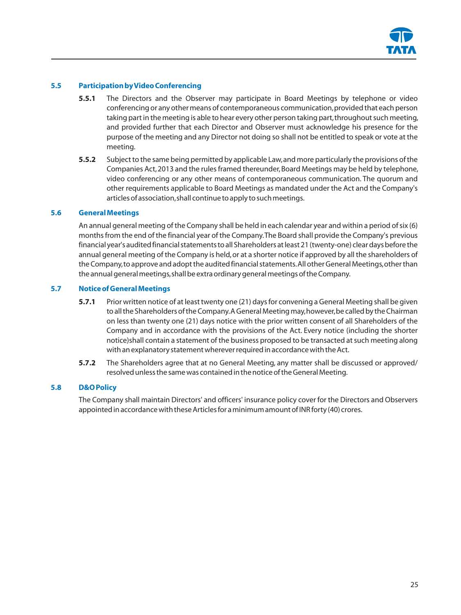

# **5.5 Participation by Video Conferencing**

- **5.5.1** The Directors and the Observer may participate in Board Meetings by telephone or video conferencing or any other means of contemporaneous communication,provided that each person taking part in the meeting is able to hear every other person taking part, throughout such meeting, and provided further that each Director and Observer must acknowledge his presence for the purpose of the meeting and any Director not doing so shall not be entitled to speak or vote at the meeting.
- **5.5.2** Subject to the same being permitted by applicable Law,and more particularly the provisions of the Companies Act, 2013 and the rules framed thereunder, Board Meetings may be held by telephone, video conferencing or any other means of contemporaneous communication. The quorum and other requirements applicable to Board Meetings as mandated under the Act and the Company's articles of association,shall continue to apply to such meetings.

## **5.6 General Meetings**

An annual general meeting of the Company shall be held in each calendar year and within a period of six (6) months from the end of the financial year of the Company.The Board shall provide the Company's previous financial year's audited financial statements to all Shareholders at least 21 (twenty-one) clear days before the annual general meeting of the Company is held, or at a shorter notice if approved by all the shareholders of the Company,to approve and adopt the audited financial statements.All other General Meetings,other than the annual general meetings,shall be extra ordinary general meetings of the Company.

## **5.7 Notice of General Meetings**

- **5.7.1** Prior written notice of at least twenty one (21) days for convening a General Meeting shall be given to all the Shareholders of the Company. A General Meeting may, however, be called by the Chairman on less than twenty one (21) days notice with the prior written consent of all Shareholders of the Company and in accordance with the provisions of the Act. Every notice (including the shorter notice)shall contain a statement of the business proposed to be transacted at such meeting along with an explanatory statement wherever required in accordance with the Act.
- **5.7.2** The Shareholders agree that at no General Meeting, any matter shall be discussed or approved/ resolved unless the same was contained in the notice of the General Meeting.

## **5.8 D&O Policy**

The Company shall maintain Directors' and officers' insurance policy cover for the Directors and Observers appointed in accordance with these Articles for a minimum amount of INR forty (40) crores.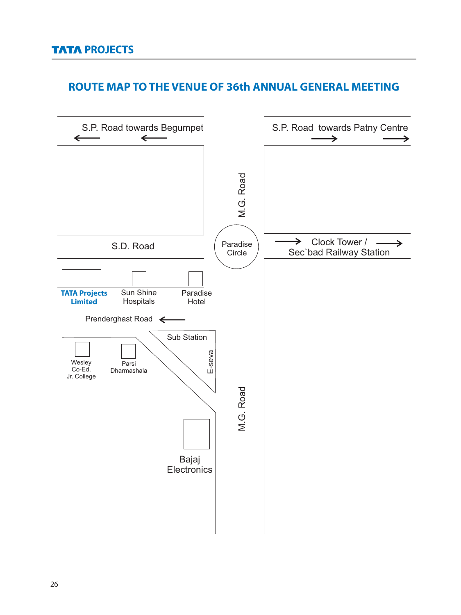# **ROUTE MAP TO THE VENUE OF 36th ANNUAL GENERAL MEETING**